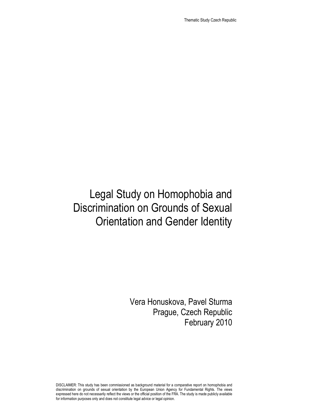Thematic Study Czech Republic

# Legal Study on Homophobia and Discrimination on Grounds of Sexual Orientation and Gender Identity

Vera Honuskova, Pavel Sturma Prague, Czech Republic February 2010

DISCLAIMER: This study has been commissioned as background material for a comparative report on homophobia and discrimination on grounds of sexual orientation by the European Union Agency for Fundamental Rights. The views expressed here do not necessarily reflect the views or the official position of the FRA. The study is made publicly available for information purposes only and does not constitute legal advice or legal opinion.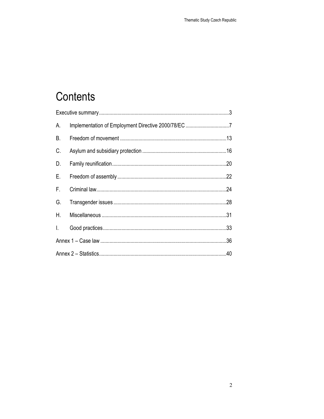# Contents

| А. |  |
|----|--|
| В. |  |
| C. |  |
| D. |  |
| Е. |  |
| F. |  |
| G. |  |
| Η. |  |
| L. |  |
|    |  |
|    |  |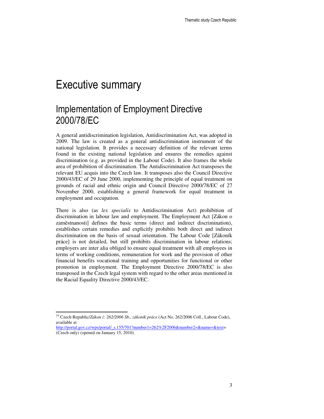## Executive summary

l

### Implementation of Employment Directive 2000/78/EC

A general antidiscrimination legislation, Antidiscrimination Act, was adopted in 2009. The law is created as a general antidiscrimination instrument of the national legislation. It provides a necessary definition of the relevant terms found in the existing national legislation and ensures the remedies against discrimination (e.g. as provided in the Labour Code). It also frames the whole area of prohibition of discrimination. The Antidiscrimination Act transposes the relevant EU acquis into the Czech law. It transposes also the Council Directive 2000/43/EC of 29 June 2000, implementing the principle of equal treatment on grounds of racial and ethnic origin and Council Directive 2000/78/EC of 27 November 2000, establishing a general framework for equal treatment in employment and occupation.

There is also (as *lex specialis* to Antidiscrimination Act) prohibition of discrimination in labour law and employment. The Employment Act [Zákon o zaměstnanosti] defines the basic terms (direct and indirect discrimination), establishes certain remedies and explicitly prohibits both direct and indirect discrimination on the basis of sexual orientation. The Labour Code [Zákoník práce] is not detailed, but still prohibits discrimination in labour relations; employers are inter alia obliged to ensure equal treatment with all employees in terms of working conditions, remuneration for work and the provision of other financial benefits vocational training and opportunities for functional or other promotion in employment. The Employment Directive 2000/78/EC is also transposed in the Czech legal system with regard to the other areas mentioned in the Racial Equality Directive 2000/43/EC.

<sup>19</sup> Czech Republic/*Zákon* č*. 262/2006 Sb., zákoník práce* (Act No. 262/2006 Coll., Labour Code), available at

http://portal.gov.cz/wps/portal/\_s.155/701?number1=262%2F2006&number2=&name=&text= (Czech only) (opened on January 15, 2010).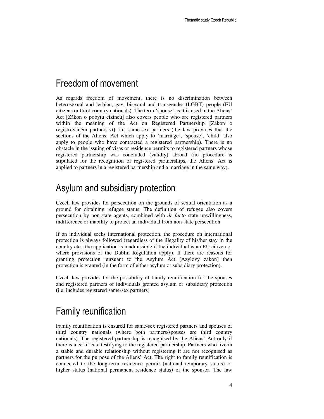### Freedom of movement

As regards freedom of movement, there is no discrimination between heterosexual and lesbian, gay, bisexual and transgender (LGBT) people (EU citizens or third country nationals). The term 'spouse' as it is used in the Aliens' Act [Zákon o pobytu cizinců] also covers people who are registered partners within the meaning of the Act on Registered Partnership [Zákon o registrovaném partnerství], i.e. same-sex partners (the law provides that the sections of the Aliens' Act which apply to 'marriage', 'spouse', 'child' also apply to people who have contracted a registered partnership). There is no obstacle in the issuing of visas or residence permits to registered partners whose registered partnership was concluded (validly) abroad (no procedure is stipulated for the recognition of registered partnerships, the Aliens' Act is applied to partners in a registered partnership and a marriage in the same way).

### Asylum and subsidiary protection

Czech law provides for persecution on the grounds of sexual orientation as a ground for obtaining refugee status. The definition of refugee also covers persecution by non-state agents, combined with *de facto* state unwillingness, indifference or inability to protect an individual from non-state persecution.

If an individual seeks international protection, the procedure on international protection is always followed (regardless of the illegality of his/her stay in the country etc.; the application is inadmissible if the individual is an EU citizen or where provisions of the Dublin Regulation apply). If there are reasons for granting protection pursuant to the Asylum Act [Azylový zákon] then protection is granted (in the form of either asylum or subsidiary protection).

Czech law provides for the possibility of family reunification for the spouses and registered partners of individuals granted asylum or subsidiary protection (i.e. includes registered same-sex partners)

### Family reunification

Family reunification is ensured for same-sex registered partners and spouses of third country nationals (where both partners/spouses are third country nationals). The registered partnership is recognised by the Aliens' Act only if there is a certificate testifying to the registered partnership. Partners who live in a stable and durable relationship without registering it are not recognised as partners for the purpose of the Aliens' Act. The right to family reunification is connected to the long-term residence permit (national temporary status) or higher status (national permanent residence status) of the sponsor. The law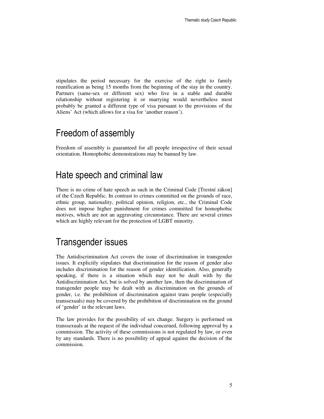stipulates the period necessary for the exercise of the right to family reunification as being 15 months from the beginning of the stay in the country. Partners (same-sex or different sex) who live in a stable and durable relationship without registering it or marrying would nevertheless most probably be granted a different type of visa pursuant to the provisions of the Aliens' Act (which allows for a visa for 'another reason').

### Freedom of assembly

Freedom of assembly is guaranteed for all people irrespective of their sexual orientation. Homophobic demonstrations may be banned by law.

### Hate speech and criminal law

There is no crime of hate speech as such in the Criminal Code [Trestní zákon] of the Czech Republic. In contrast to crimes committed on the grounds of race, ethnic group, nationality, political opinion, religion, etc., the Criminal Code does not impose higher punishment for crimes committed for homophobic motives, which are not an aggravating circumstance. There are several crimes which are highly relevant for the protection of LGBT minority.

### Transgender issues

The Antidiscrimination Act covers the issue of discrimination in transgender issues. It explicitly stipulates that discrimination for the reason of gender also includes discrimination for the reason of gender identification. Also, generally speaking, if there is a situation which may not be dealt with by the Antidiscrimination Act, but is solved by another law, then the discrimination of transgender people may be dealt with as discrimination on the grounds of gender, i.e. the prohibition of discrimination against trans people (especially transsexuals) may be covered by the prohibition of discrimination on the ground of 'gender' in the relevant laws.

The law provides for the possibility of sex change. Surgery is performed on transsexuals at the request of the individual concerned, following approval by a commission. The activity of these commissions is not regulated by law, or even by any standards. There is no possibility of appeal against the decision of the commission.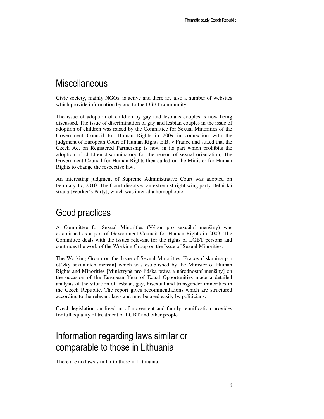### **Miscellaneous**

Civic society, mainly NGOs, is active and there are also a number of websites which provide information by and to the LGBT community.

The issue of adoption of children by gay and lesbians couples is now being discussed. The issue of discrimination of gay and lesbian couples in the issue of adoption of children was raised by the Committee for Sexual Minorities of the Government Council for Human Rights in 2009 in connection with the judgment of European Court of Human Rights E.B. v France and stated that the Czech Act on Registered Partnership is now in its part which prohibits the adoption of children discriminatory for the reason of sexual orientation, The Government Council for Human Rights then called on the Minister for Human Rights to change the respective law.

An interesting judgment of Supreme Administrative Court was adopted on February 17, 2010. The Court dissolved an extremist right wing party Dělnická strana [Worker´s Party], which was inter alia homophobic.

### Good practices

A Committee for Sexual Minorities (Výbor pro sexuální menšiny) was established as a part of Government Council for Human Rights in 2009. The Committee deals with the issues relevant for the rights of LGBT persons and continues the work of the Working Group on the Issue of Sexual Minorities.

The Working Group on the Issue of Sexual Minorities [Pracovní skupina pro otázky sexuálních menšin] which was established by the Minister of Human Rights and Minorities [Ministryně pro lidská práva a národnostní menšiny] on the occasion of the European Year of Equal Opportunities made a detailed analysis of the situation of lesbian, gay, bisexual and transgender minorities in the Czech Republic. The report gives recommendations which are structured according to the relevant laws and may be used easily by politicians.

Czech legislation on freedom of movement and family reunification provides for full equality of treatment of LGBT and other people.

## Information regarding laws similar or comparable to those in Lithuania

There are no laws similar to those in Lithuania.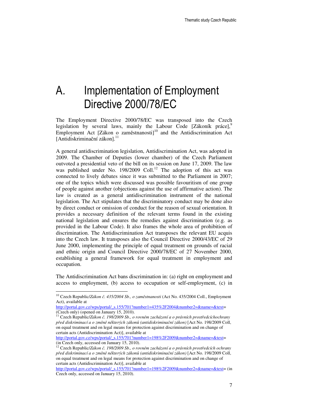## A. Implementation of Employment Directive 2000/78/EC

The Employment Directive 2000/78/EC was transposed into the Czech legislation by several laws, mainly the Labour Code [Zákoník práce],  $9^{\circ}$ Employment Act [Zákon o zaměstnanosti]<sup>10</sup> and the Antidiscrimination Act [Antidiskriminační zákon].<sup>11</sup>

A general antidiscrimination legislation, Antidiscrimination Act, was adopted in 2009. The Chamber of Deputies (lower chamber) of the Czech Parliament outvoted a presidential veto of the bill on its session on June 17, 2009. The law was published under No. 198/2009 Coll.<sup>12</sup> The adoption of this act was connected to lively debates since it was submitted to the Parliament in 2007; one of the topics which were discussed was possible favouritism of one group of people against another (objections against the use of affirmative action). The law is created as a general antidiscrimination instrument of the national legislation. The Act stipulates that the discriminatory conduct may be done also by direct conduct or omission of conduct for the reason of sexual orientation. It provides a necessary definition of the relevant terms found in the existing national legislation and ensures the remedies against discrimination (e.g. as provided in the Labour Code). It also frames the whole area of prohibition of discrimination. The Antidiscrimination Act transposes the relevant EU acquis into the Czech law. It transposes also the Council Directive 2000/43/EC of 29 June 2000, implementing the principle of equal treatment on grounds of racial and ethnic origin and Council Directive 2000/78/EC of 27 November 2000, establishing a general framework for equal treatment in employment and occupation.

The Antidiscrimination Act bans discrimination in: (a) right on employment and access to employment, (b) access to occupation or self-employment, (c) in

l

http://portal.gov.cz/wps/portal/\_s.155/701?number1=198%2F2009&number2=&name=&text= (in Czech only, accessed on January 15, 2010).

<sup>10</sup> Czech Republic/*Zákon* č*. 435/2004 Sb., o zam*ě*stnanosti* (Act No. 435/2004 Coll., Employment Act), available at

http://portal.gov.cz/wps/portal/\_s.155/701?number1=435%2F2004&number2=&name=&text= (Czech only) (opened on January 15, 2010).

<sup>11</sup> Czech Republic/*Zákon* č*. 198/2009 Sb., o rovném zacházení a o právních prost*ř*edcíchochrany p*ř*ed diskriminací a o zm*ě*n*ě *n*ě*kterých zákon*ů *(antidiskrimina*č*ní zákon)* [Act No. 198/2009 Coll, on equal treatment and on legal means for protection against discrimination and on change of certain acts (Antidiscrimination Act)], available at

<sup>12</sup> Czech Republic/*Zákon* č*. 198/2009 Sb., o rovném zacházení a o právních prost*ř*edcích ochrany p*ř*ed diskriminací a o zm*ě*n*ě *n*ě*kterých zákon*ů *(antidiskrimina*č*ní zákon)* [Act No. 198/2009 Coll, on equal treatment and on legal means for protection against discrimination and on change of certain acts (Antidiscrimination Act)], available at

http://portal.gov.cz/wps/portal/\_s.155/701?number1=198%2F2009&number2=&name=&text= (in Czech only, accessed on January 15, 2010).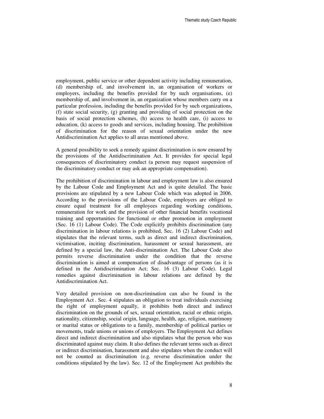employment, public service or other dependent activity including remuneration, (d) membership of, and involvement in, an organisation of workers or employers, including the benefits provided for by such organisations, (e) membership of, and involvement in, an organization whose members carry on a particular profession, including the benefits provided for by such organizations, (f) state social security, (g) granting and providing of social protection on the basis of social protection schemes, (h) access to health care, (i) access to education, (k) access to goods and services, including housing. The prohibition of discrimination for the reason of sexual orientation under the new Antidiscrimination Act applies to all areas mentioned above.

A general possibility to seek a remedy against discrimination is now ensured by the provisions of the Antidiscrimination Act. It provides for special legal consequences of discriminatory conduct (a person may request suspension of the discriminatory conduct or may ask an appropriate compensation).

The prohibition of discrimination in labour and employment law is also ensured by the Labour Code and Employment Act and is quite detailed. The basic provisions are stipulated by a new Labour Code which was adopted in 2006. According to the provisions of the Labour Code, employers are obliged to ensure equal treatment for all employees regarding working conditions, remuneration for work and the provision of other financial benefits vocational training and opportunities for functional or other promotion in employment (Sec. 16 (1) Labour Code). The Code explicitly prohibits discrimination (any discrimination in labour relations is prohibited, Sec. 16 (2) Labour Code) and stipulates that the relevant terms, such as direct and indirect discrimination, victimisation, inciting discrimination, harassment or sexual harassment, are defined by a special law, the Anti-discrimination Act. The Labour Code also permits reverse discrimination under the condition that the reverse discrimination is aimed at compensation of disadvantage of persons (as it is defined in the Antidiscrimination Act; Sec. 16 (3) Labour Code). Legal remedies against discrimination in labour relations are defined by the Antidiscrimination Act.

Very detailed provision on non-discrimination can also be found in the Employment Act . Sec. 4 stipulates an obligation to treat individuals exercising the right of employment equally, it prohibits both direct and indirect discrimination on the grounds of sex, sexual orientation, racial or ethnic origin, nationality, citizenship, social origin, language, health, age, religion, matrimony or marital status or obligations to a family, membership of political parties or movements, trade unions or unions of employers. The Employment Act defines direct and indirect discrimination and also stipulates what the person who was discriminated against may claim. It also defines the relevant terms such as direct or indirect discrimination, harassment and also stipulates when the conduct will not be counted as discrimination (e.g. reverse discrimination under the conditions stipulated by the law). Sec. 12 of the Employment Act prohibits the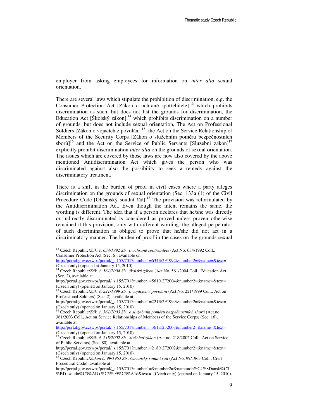employer from asking employees for information on *inter alia* sexual orientation.

There are several laws which stipulate the prohibition of discrimination, e.g. the Consumer Protection Act [Zákon o ochraně spotřebitele],<sup>13</sup> which prohibits discrimination as such, but does not list the grounds for discrimination, the Education Act [Školský zákon],<sup>14</sup> which prohibits discrimination on a number of grounds, but does not include sexual orientation, The Act on Professional Soldiers [Zákon o vojácích z povolání]<sup>15</sup>, the Act on the Service Relationship of Members of the Security Corps [Zákon o služebním poměru bezpečnostních sborů]<sup>16</sup> and the Act on the Service of Public Servants [Služební zákon]<sup>17</sup> explicitly prohibit discrimination *inter alia* on the grounds of sexual orientation. The issues which are covered by those laws are now also covered by the above mentioned Antidiscrimination Act which gives the person who was discriminated against also the possibility to seek a remedy against the discriminatory treatment.

There is a shift in the burden of proof in civil cases where a party alleges discrimination on the grounds of sexual orientation (Sec. 133a (1) of the Civil Procedure Code [Občanský soudní řád].<sup>18</sup> The provision was reformulated by the Antidiscrimination Act. Even though the intent remains the same, the wording is different. The idea that if a person declares that he/she was directly or indirectly discriminated is considered as proved unless proven otherwise remained it this provision, only with different wording: the alleged perpetrator of such discrimination is obliged to prove that he/she did not act in a discriminatory manner. The burden of proof in the cases on the grounds sexual

<sup>13</sup> Czech Republic/*Zák.* č*. 634/1992 Sb., o ochran*ě *spot*ř*ebitele* (Act No. 634/1992 Coll., Consumer Protection Act (Sec. 6), available on

http://portal.gov.cz/wps/portal/\_s.155/701?number1=634%2F1992&number2=&name=&text= (Czech only) (opened at January 15, 2010).

<sup>14</sup> Czech Republic/*Zák.* č*. 561/2004 Sb., školský zákon* (Act No. 561/2004 Coll., Education Act (Sec. 2), available at

http://portal.gov.cz/wps/portal/\_s.155/701?number1=561%2F2004&number2=&name=&text= (Czech only) (opened on January 15, 2010)

<sup>15</sup> Czech Republic/*Zák.* č*. 221/1999 Sb., o vojácích z povolání* (Act No. 221/1999 Coll., Act on Professional Soldiers) (Sec. 2), available at

http://portal.gov.cz/wps/portal/\_s.155/701?number1=221%2F1999&number2=&name=&text= (Czech only) (opened on January 15, 2010).

<sup>16</sup> Czech Republic/*Zák.* č*. 361/2003 Sb., o služebním pom*ě*ru bezpe*č*nostních sbor*ů (Act no. 361/2003 Coll., Act on Service Relationships of Members of the Service Corps) (Sec. 16), available at

http://portal.gov.cz/wps/portal/\_s.155/701?number1=361%2F2003&number2=&name=&text= (Czech only) (opened on January 15, 2010).

<sup>17</sup> Czech Republic/*Zák.* č*. 218/2002 Sb., Služební zákon* (Act no. 218/2002 Coll., Act on Service of Public Servants) (Sec. 80), available at

http://portal.gov.cz/wps/portal/\_s.155/701?number1=218%2F2002&number2=&name=&text= (Czech only) (opened on January 15, 2010).

<sup>18</sup> Czech Republic/*Zákon* č*. 99/1963 Sb., Ob*č*anský soudní* ř*ád* (Act No. 99/1963 Coll., Civil Procedural Code), available at

http://portal.gov.cz/wps/portal/\_s.155/701?number1=&number2=&name=ob%C4%8Dansk%C3 %BD+soudn%C3%AD+%C5%99%C3%A1d&text= (Czech only) (opened on January 15, 2010).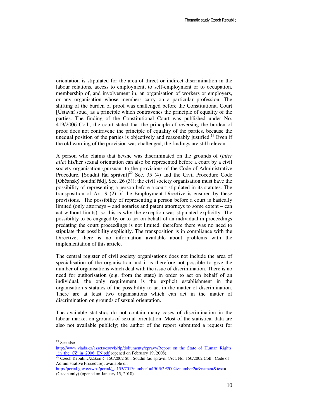orientation is stipulated for the area of direct or indirect discrimination in the labour relations, access to employment, to self-employment or to occupation, membership of, and involvement in, an organisation of workers or employers, or any organisation whose members carry on a particular profession. The shifting of the burden of proof was challenged before the Constitutional Court [Ústavní soud] as a principle which contravenes the principle of equality of the parties. The finding of the Constitutional Court was published under No. 419/2006 Coll., the court stated that the principle of reversing the burden of proof does not contravene the principle of equality of the parties, because the unequal position of the parties is objectively and reasonably justified.<sup>19</sup> Even if the old wording of the provision was challenged, the findings are still relevant.

A person who claims that he/she was discriminated on the grounds of (*inter alia*) his/her sexual orientation can also be represented before a court by a civil society organisation (pursuant to the provisions of the Code of Administrative Procedure, [Soudní řád správní]<sup>20</sup> Sec. 35 (4) and the Civil Procedure Code [Občanský soudní řád], Sec. 26 (3)); the civil society organisation must have the possibility of representing a person before a court stipulated in its statutes. The transposition of Art. 9 (2) of the Employment Directive is ensured by these provisions. The possibility of representing a person before a court is basically limited (only attorneys – and notaries and patent attorneys to some extent – can act without limits), so this is why the exception was stipulated explicitly. The possibility to be engaged by or to act on behalf of an individual in proceedings predating the court proceedings is not limited, therefore there was no need to stipulate that possibility explicitly. The transposition is in compliance with the Directive; there is no information available about problems with the implementation of this article.

The central register of civil society organisations does not include the area of specialisation of the organisation and it is therefore not possible to give the number of organisations which deal with the issue of discrimination. There is no need for authorisation (e.g. from the state) in order to act on behalf of an individual, the only requirement is the explicit establishment in the organisation's statutes of the possibility to act in the matter of discrimination. There are at least two organisations which can act in the matter of discrimination on grounds of sexual orientation.

The available statistics do not contain many cases of discrimination in the labour market on grounds of sexual orientation. Most of the statistical data are also not available publicly; the author of the report submitted a request for

<sup>&</sup>lt;sup>19</sup> See also

http://www.vlada.cz/assets/cs/rvk/rlp/dokumenty/zpravy/Report\_on\_the\_State\_of\_Human\_Rights in\_the\_CZ\_in\_2006\_EN.pdf (opened on February 19, 2008)...

<sup>&</sup>lt;sup>20</sup> Czech Republic/Zákon č. 150/2002 Sb., Soudní řád správní (Act. No. 150/2002 Coll., Code of Administrative Procedure), available on

http://portal.gov.cz/wps/portal/\_s.155/701?number1=150%2F2002&number2=&name=&text= (Czech only) (opened on January 15, 2010).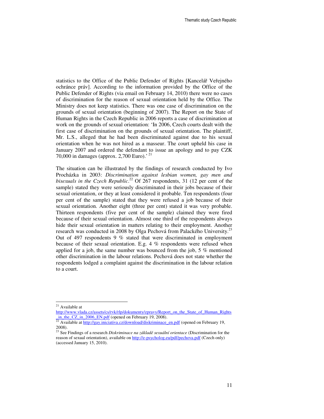statistics to the Office of the Public Defender of Rights [Kancelář Veřejného ochránce práv]. According to the information provided by the Office of the Public Defender of Rights (via email on February 14, 2010) there were no cases of discrimination for the reason of sexual orientation held by the Office. The Ministry does not keep statistics. There was one case of discrimination on the grounds of sexual orientation (beginning of 2007). The Report on the State of Human Rights in the Czech Republic in 2006 reports a case of discrimination at work on the grounds of sexual orientation: 'In 2006, Czech courts dealt with the first case of discrimination on the grounds of sexual orientation. The plaintiff, Mr. L.S., alleged that he had been discriminated against due to his sexual orientation when he was not hired as a masseur. The court upheld his case in January 2007 and ordered the defendant to issue an apology and to pay CZK 70,000 in damages (approx. 2,700 Euro).<sup>'21</sup>

The situation can be illustrated by the findings of research conducted by Ivo Procházka in 2003: *Discrimination against lesbian women, gay men and bisexuals in the Czech Republic*. <sup>22</sup> Of 267 respondents, 31 (12 per cent of the sample) stated they were seriously discriminated in their jobs because of their sexual orientation, or they at least considered it probable. Ten respondents (four per cent of the sample) stated that they were refused a job because of their sexual orientation. Another eight (three per cent) stated it was very probable. Thirteen respondents (five per cent of the sample) claimed they were fired because of their sexual orientation. Almost one third of the respondents always hide their sexual orientation in matters relating to their employment. Another research was conducted in 2008 by Olga Pechová from Palackého University.<sup>23</sup> Out of 497 respondents 9 % stated that were discriminated in employment because of their sexual orientation. E.g. 4 % respondents were refused when applied for a job, the same number was bounced from the job, 5 % mentioned other discrimination in the labour relations. Pechová does not state whether the respondents lodged a complaint against the discrimination in the labour relation to a court.

<sup>21</sup> Available at

http://www.vlada.cz/assets/cs/rvk/rlp/dokumenty/zpravy/Report\_on\_the\_State\_of\_Human\_Rights in\_the\_CZ\_in\_2006\_EN.pdf (opened on February 19, 2008).

<sup>&</sup>lt;sup>22</sup> Available at  $\frac{http://gay.iniciativa.cz/download/diskriminace_en.pdf}{http://gay.iniciativa.cz/download/diskriminace_en.pdf}$  (opened on February 19, 2008).

<sup>23</sup> See Findings of a research *Diskriminace na základ*ě *sexuální orientace* (Discrimination for the reason of sexual orientation), available on http://e-psycholog.eu/pdf/pechova.pdf (Czech only) (accessed January 15, 2010).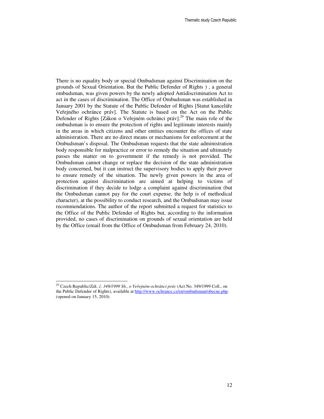There is no equality body or special Ombudsman against Discrimination on the grounds of Sexual Orientation. But the Public Defender of Rights ) , a general ombudsman, was given powers by the newly adopted Antidiscrimination Act to act in the cases of discrimination. The Office of Ombudsman was established in January 2001 by the Statute of the Public Defender of Rights [Statut kanceláře Veřejného ochránce práv]. The Statute is based on the Act on the Public Defender of Rights [Zákon o Veřejném ochránci práv].<sup>29</sup> The main role of the ombudsman is to ensure the protection of rights and legitimate interests mainly in the areas in which citizens and other entities encounter the offices of state administration. There are no direct means or mechanisms for enforcement at the Ombudsman's disposal. The Ombudsman requests that the state administration body responsible for malpractice or error to remedy the situation and ultimately passes the matter on to government if the remedy is not provided. The Ombudsman cannot change or replace the decision of the state administration body concerned, but it can instruct the supervisory bodies to apply their power to ensure remedy of the situation. The newly given powers in the area of protection against discrimination are aimed at helping to victims of discrimination if they decide to lodge a complaint against discrimination (but the Ombudsman cannot pay for the court expense, the help is of methodical character), at the possibility to conduct research, and the Ombudsman may issue recommendations. The author of the report submitted a request for statistics to the Office of the Public Defender of Rights but, according to the information provided, no cases of discrimination on grounds of sexual orientation are held by the Office (email from the Office of Ombudsman from February 24, 2010).

l

<sup>29</sup> Czech Republic/*Zák.* č*. 349/1999 Sb., o Ve*ř*ejném ochránci práv* (Act No. 349/1999 Coll., on the Public Defender of Rights), available at http://www.ochrance.cz/en/ombudsman/obecne.php. (opened on January 15, 2010).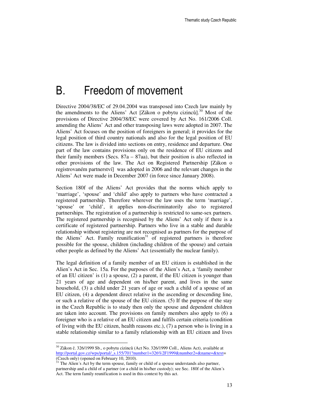## B. Freedom of movement

Directive 2004/38/EC of 29.04.2004 was transposed into Czech law mainly by the amendments to the Aliens' Act [Zákon o pobytu cizinců].<sup>30</sup> Most of the provisions of Directive 2004/38/EC were covered by Act No. 161/2006 Coll. amending the Aliens' Act and other transposing laws were adopted in 2007. The Aliens' Act focuses on the position of foreigners in general; it provides for the legal position of third country nationals and also for the legal position of EU citizens. The law is divided into sections on entry, residence and departure. One part of the law contains provisions only on the residence of EU citizens and their family members (Secs. 87a – 87aa), but their position is also reflected in other provisions of the law. The Act on Registered Partnership [Zákon o registrovaném partnerství] was adopted in 2006 and the relevant changes in the Aliens' Act were made in December 2007 (in force since January 2008).

Section 180f of the Aliens' Act provides that the norms which apply to 'marriage', 'spouse' and 'child' also apply to partners who have contracted a registered partnership. Therefore wherever the law uses the term 'marriage', 'spouse' or 'child', it applies non-discriminatorily also to registered partnerships. The registration of a partnership is restricted to same-sex partners. The registered partnership is recognised by the Aliens' Act only if there is a certificate of registered partnership. Partners who live in a stable and durable relationship without registering are not recognised as partners for the purpose of the Aliens' Act. Family reunification<sup>31</sup> of registered partners is therefore possible for the spouse, children (including children of the spouse) and certain other people as defined by the Aliens' Act (essentially the nuclear family).

The legal definition of a family member of an EU citizen is established in the Alien's Act in Sec. 15a. For the purposes of the Alien's Act, a 'family member of an EU citizen' is (1) a spouse, (2) a parent, if the EU citizen is younger than 21 years of age and dependent on his/her parent, and lives in the same household, (3) a child under 21 years of age or such a child of a spouse of an EU citizen, (4) a dependent direct relative in the ascending or descending line, or such a relative of the spouse of the EU citizen. (5) If the purpose of the stay in the Czech Republic is to study then only the spouse and dependent children are taken into account. The provisions on family members also apply to (6) a foreigner who is a relative of an EU citizen and fulfils certain criteria (condition of living with the EU citizen, health reasons etc.), (7) a person who is living in a stable relationship similar to a family relationship with an EU citizen and lives

<sup>&</sup>lt;sup>30</sup> Zákon č. 326/1999 Sb., o pobytu cizinců (Act No. 326/1999 Coll., Aliens Act), available at http://portal.gov.cz/wps/portal/\_s.155/701?number1=326%2F1999&number2=&name=&text= (Czech only) (opened on February 10, 2010).

 $31$  The Alien's Act by the term spouse, family or child of a spouse understands also partner, partnership and a child of a partner (or a child in his/her custody); see Sec. 180f of the Alien´s Act. The term family reunification is used in this context by this act.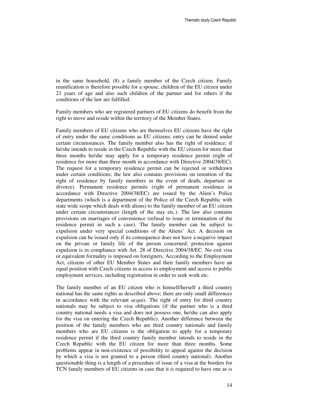in the same household, (8) a family member of the Czech citizen. Family reunification is therefore possible for a spouse, children of the EU citizen under 21 years of age and also such children of the partner and for others if the conditions of the law are fulfilled.

Family members who are registered partners of EU citizens do benefit from the right to move and reside within the territory of the Member States.

Family members of EU citizens who are themselves EU citizens have the right of entry under the same conditions as EU citizens; entry can be denied under certain circumstances. The family member also has the right of residence; if he/she intends to reside in the Czech Republic with the EU citizen for more than three months he/she may apply for a temporary residence permit (right of residence for more than three month in accordance with Directive 2004/38/EC). The request for a temporary residence permit can be rejected or withdrawn under certain conditions; the law also contains provisions on retention of the right of residence by family members in the event of death, departure or divorce). Permanent residence permits (right of permanent residence in accordance with Directive 2004/38/EC) are issued by the Alien's Police departments (which is a department of the Police of the Czech Republic with state wide scope which deals with aliens) to the family member of an EU citizen under certain circumstances (length of the stay etc.). The law also contains provisions on marriages of convenience (refusal to issue or termination of the residence permit in such a case). The family member can be subject to expulsion under very special conditions of the Aliens' Act. A decision on expulsion can be issued only if its consequence does not have a negative impact on the private or family life of the person concerned; protection against expulsion is in compliance with Art. 28 of Directive 2004/38/EC. No exit visa or equivalent formality is imposed on foreigners. According to the Employment Act, citizens of other EU Member States and their family members have an equal position with Czech citizens in access to employment and access to public employment services, including registration in order to seek work etc.

The family member of an EU citizen who is himself/herself a third country national has the same rights as described above; there are only small differences in accordance with the relevant *acquis*. The right of entry for third country nationals may be subject to visa obligations (if the partner who is a third country national needs a visa and does not possess one, he/she can also apply for the visa on entering the Czech Republic). Another difference between the position of the family members who are third country nationals and family members who are EU citizens is the obligation to apply for a temporary residence permit if the third country family member intends to reside in the Czech Republic with the EU citizen for more than three months. Some problems appear in non-existence of possibility to appeal against the decision by which a visa is not granted to a person (third country national). Another questionable thing is a length of a procedure of issue of a visa at the borders for TCN family members of EU citizens in case that it is required to have one as is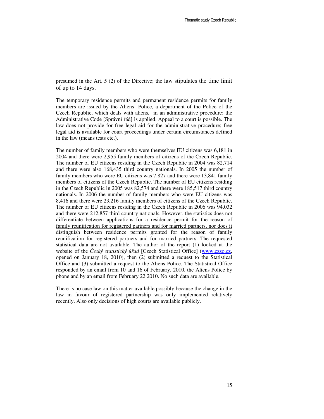presumed in the Art. 5 (2) of the Directive; the law stipulates the time limit of up to 14 days.

The temporary residence permits and permanent residence permits for family members are issued by the Aliens' Police, a department of the Police of the Czech Republic, which deals with aliens, in an administrative procedure; the Administrative Code [Správní řád] is applied. Appeal to a court is possible. The law does not provide for free legal aid for the administrative procedure; free legal aid is available for court proceedings under certain circumstances defined in the law (means tests etc.).

The number of family members who were themselves EU citizens was 6,181 in 2004 and there were 2,955 family members of citizens of the Czech Republic. The number of EU citizens residing in the Czech Republic in 2004 was 82,714 and there were also 168,435 third country nationals. In 2005 the number of family members who were EU citizens was 7,827 and there were 13,841 family members of citizens of the Czech Republic. The number of EU citizens residing in the Czech Republic in 2005 was 82,574 and there were 185,517 third country nationals. In 2006 the number of family members who were EU citizens was 8,416 and there were 23,216 family members of citizens of the Czech Republic. The number of EU citizens residing in the Czech Republic in 2006 was 94,032 and there were 212,857 third country nationals. However, the statistics does not differentiate between applications for a residence permit for the reason of family reunification for registered partners and for married partners, nor does it distinguish between residence permits granted for the reason of family reunification for registered partners and for married partners. The requested statistical data are not available. The author of the report (1) looked at the website of the Č*eský statistický ú*ř*ad* [Czech Statistical Office] (www.czso.cz, opened on January 18, 2010), then (2) submitted a request to the Statistical Office and (3) submitted a request to the Aliens Police. The Statistical Office responded by an email from 10 and 16 of February, 2010, the Aliens Police by phone and by an email from February 22 2010. No such data are available.

There is no case law on this matter available possibly because the change in the law in favour of registered partnership was only implemented relatively recently. Also only decisions of high courts are available publicly.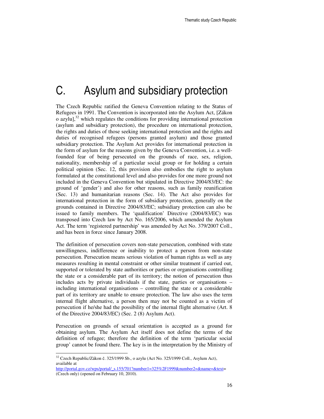# C. Asylum and subsidiary protection

The Czech Republic ratified the Geneva Convention relating to the Status of Refugees in 1991. The Convention is incorporated into the Asylum Act, [Zákon o azylu], $32$  which regulates the conditions for providing international protection (asylum and subsidiary protection), the procedure on international protection, the rights and duties of those seeking international protection and the rights and duties of recognised refugees (persons granted asylum) and those granted subsidiary protection. The Asylum Act provides for international protection in the form of asylum for the reasons given by the Geneva Convention, i.e. a wellfounded fear of being persecuted on the grounds of race, sex, religion, nationality, membership of a particular social group or for holding a certain political opinion (Sec. 12, this provision also embodies the right to asylum formulated at the constitutional level and also provides for one more ground not included in the Geneva Convention but stipulated in Directive 2004/83/EC: the ground of 'gender') and also for other reasons, such as family reunification (Sec. 13) and humanitarian reasons (Sec. 14). The Act also provides for international protection in the form of subsidiary protection, generally on the grounds contained in Directive 2004/83/EC; subsidiary protection can also be issued to family members. The 'qualification' Directive (2004/83/EC) was transposed into Czech law by Act No. 165/2006, which amended the Asylum Act. The term 'registered partnership' was amended by Act No. 379/2007 Coll., and has been in force since January 2008.

The definition of persecution covers non-state persecution, combined with state unwillingness, indifference or inability to protect a person from non-state persecution. Persecution means serious violation of human rights as well as any measures resulting in mental constraint or other similar treatment if carried out, supported or tolerated by state authorities or parties or organisations controlling the state or a considerable part of its territory; the notion of persecution thus includes acts by private individuals if the state, parties or organisations – including international organisations – controlling the state or a considerable part of its territory are unable to ensure protection. The law also uses the term internal flight alternative, a person then may not be counted as a victim of persecution if he/she had the possibility of the internal flight alternative (Art. 8 of the Directive 2004/83/EC) (Sec. 2 (8) Asylum Act).

Persecution on grounds of sexual orientation is accepted as a ground for obtaining asylum. The Asylum Act itself does not define the terms of the definition of refugee; therefore the definition of the term 'particular social group' cannot be found there. The key is in the interpretation by the Ministry of

 $32$  Czech Republic/Zákon č. 325/1999 Sb., o azylu (Act No. 325/1999 Coll., Asylum Act), available at

http://portal.gov.cz/wps/portal/\_s.155/701?number1=325%2F1999&number2=&name=&text= (Czech only) (opened on February 10, 2010).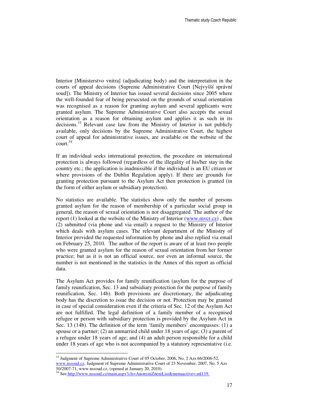Interior [Ministerstvo vnitra] (adjudicating body) and the interpretation in the courts of appeal decisions (Supreme Administrative Court [Nejvyšší správní soud]). The Ministry of Interior has issued several decisions since 2005 where the well-founded fear of being persecuted on the grounds of sexual orientation was recognised as a reason for granting asylum and several applicants were granted asylum. The Supreme Administrative Court also accepts the sexual orientation as a reason for obtaining asylum and applies it as such in its decisions.<sup>33</sup> Relevant case law from the Ministry of Interior is not publicly available, only decisions by the Supreme Administrative Court, the highest court of appeal for administrative issues, are available on the website of the  $\text{court.}^{34}$ 

If an individual seeks international protection, the procedure on international protection is always followed (regardless of the illegality of his/her stay in the country etc.; the application is inadmissible if the individual is an EU citizen or where provisions of the Dublin Regulation apply). If there are grounds for granting protection pursuant to the Asylum Act then protection is granted (in the form of either asylum or subsidiary protection).

No statistics are available. The statistics show only the number of persons granted asylum for the reason of membership of a particular social group in general, the reason of sexual orientation is not disaggregated. The author of the report (1) looked at the website of the Ministry of Interior (www.mvcr.cz), then (2) submitted (via phone and via email) a request to the Ministry of Interior which deals with asylum cases. The relevant department of the Ministry of Interior provided the requested information by phone and also replied via email on February 25, 2010. The author of the report is aware of at least two people who were granted asylum for the reason of sexual orientation from her former practice; but as it is not an official source, nor even an informal source, the number is not mentioned in the statistics in the Annex of this report as official data.

The Asylum Act provides for family reunification (asylum for the purpose of family reunification, Sec. 13 and subsidiary protection for the purpose of family reunification, Sec. 14b). Both provisions are discretionary, the adjudicating body has the discretion to issue the decision or not. Protection may be granted in case of special consideration even if the criteria of Sec. 12 of the Asylum Act are not fulfilled. The legal definition of a family member of a recognised refugee or person with subsidiary protection is provided by the Asylum Act in Sec. 13 (14b). The definition of the term 'family members' encompasses: (1) a spouse or a partner; (2) an unmarried child under 18 years of age; (3) a parent of a refugee under 18 years of age; and (4) an adult person responsible for a child under 18 years of age who is not accompanied by a statutory representative (i.e.

<sup>&</sup>lt;sup>33</sup> Judgment of Supreme Administrative Court of 05 October, 2006, No. 2 Azs 66/2006-52, www.nssoud.cz, Judgment of Supreme Administrative Court of 23 November, 2007, No. 5 Azs 50/2007-71, www.nssoud.cz, (opened at January 20, 2010).

<sup>&</sup>lt;sup>34</sup> See http://www.nssoud.cz/main.aspx?cls=AnonymZneniList&menuactive=;ml119.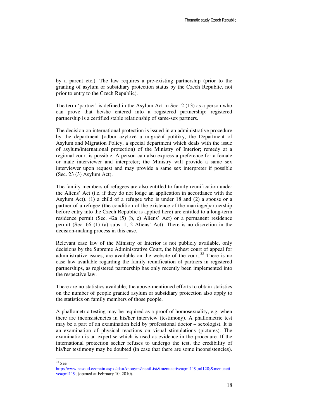by a parent etc.). The law requires a pre-existing partnership (prior to the granting of asylum or subsidiary protection status by the Czech Republic, not prior to entry to the Czech Republic).

The term 'partner' is defined in the Asylum Act in Sec. 2 (13) as a person who can prove that he/she entered into a registered partnership; registered partnership is a certified stable relationship of same-sex partners.

The decision on international protection is issued in an administrative procedure by the department [odbor azylové a migrační politiky, the Department of Asylum and Migration Policy, a special department which deals with the issue of asylum/international protection) of the Ministry of Interior; remedy at a regional court is possible. A person can also express a preference for a female or male interviewer and interpreter; the Ministry will provide a same sex interviewer upon request and may provide a same sex interpreter if possible (Sec. 23 (3) Asylum Act).

The family members of refugees are also entitled to family reunification under the Aliens' Act (i.e. if they do not lodge an application in accordance with the Asylum Act). (1) a child of a refugee who is under 18 and (2) a spouse or a partner of a refugee (the condition of the existence of the marriage/partnership before entry into the Czech Republic is applied here) are entitled to a long-term residence permit (Sec. 42a (5) (b, c) Aliens' Act) or a permanent residence permit (Sec. 66 (1) (a) subs. 1, 2 Aliens' Act). There is no discretion in the decision-making process in this case.

Relevant case law of the Ministry of Interior is not publicly available, only decisions by the Supreme Administrative Court, the highest court of appeal for administrative issues, are available on the website of the court.<sup>35</sup> There is no case law available regarding the family reunification of partners in registered partnerships, as registered partnership has only recently been implemented into the respective law.

There are no statistics available; the above-mentioned efforts to obtain statistics on the number of people granted asylum or subsidiary protection also apply to the statistics on family members of those people.

A phallometric testing may be required as a proof of homosexuality, e.g. when there are inconsistencies in his/her interview (testimony). A phallometric test may be a part of an examination held by professional doctor – sexologist. It is an examination of physical reactions on visual stimulations (pictures). The examination is an expertise which is used as evidence in the procedure. If the international protection seeker refuses to undergo the test, the credibility of his/her testimony may be doubted (in case that there are some inconsistencies).

<sup>35</sup> See

l

http://www.nssoud.cz/main.aspx?cls=AnonymZneniList&menuactive=;ml119;ml120;&menuacti ve=;ml119; (opened at February 10, 2010).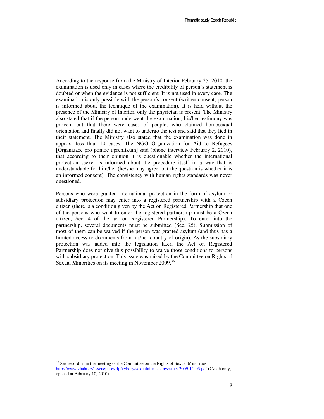According to the response from the Ministry of Interior February 25, 2010, the examination is used only in cases where the credibility of person´s statement is doubted or when the evidence is not sufficient. It is not used in every case. The examination is only possible with the person´s consent (written consent, person is informed about the technique of the examination). It is held without the presence of the Ministry of Interior, only the physician is present. The Ministry also stated that if the person underwent the examination, his/her testimony was proven, but that there were cases of people, who claimed homosexual orientation and finally did not want to undergo the test and said that they lied in their statement. The Ministry also stated that the examination was done in approx. less than 10 cases. The NGO Organization for Aid to Refugees [Organizace pro pomoc uprchlíkům] said (phone interview February 2, 2010), that according to their opinion it is questionable whether the international protection seeker is informed about the procedure itself in a way that is understandable for him/her (he/she may agree, but the question is whether it is an informed consent). The consistency with human rights standards was never questioned.

Persons who were granted international protection in the form of asylum or subsidiary protection may enter into a registered partnership with a Czech citizen (there is a condition given by the Act on Registered Partnership that one of the persons who want to enter the registered partnership must be a Czech citizen, Sec. 4 of the act on Registered Partnership). To enter into the partnership, several documents must be submitted (Sec. 25). Submission of most of them can be waived if the person was granted asylum (and thus has a limited access to documents from his/her country of origin). As the subsidiary protection was added into the legislation later, the Act on Registered Partnership does not give this possibility to waive those conditions to persons with subsidiary protection. This issue was raised by the Committee on Rights of Sexual Minorities on its meeting in November 2009.<sup>36</sup>

l

<sup>&</sup>lt;sup>36</sup> See record from the meeting of the Committee on the Rights of Sexual Minorities http://www.vlada.cz/assets/ppov/rlp/vybory/sexualni-mensiny/zapis-2009-11-03.pdf (Czech only, opened at February 10, 2010)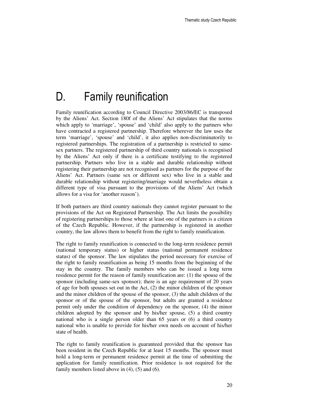## D. Family reunification

Family reunification according to Council Directive 2003/86/EC is transposed by the Aliens' Act. Section 180f of the Aliens' Act stipulates that the norms which apply to 'marriage', 'spouse' and 'child' also apply to the partners who have contracted a registered partnership. Therefore wherever the law uses the term 'marriage', 'spouse' and 'child', it also applies non-discriminatorily to registered partnerships. The registration of a partnership is restricted to samesex partners. The registered partnership of third country nationals is recognised by the Aliens' Act only if there is a certificate testifying to the registered partnership. Partners who live in a stable and durable relationship without registering their partnership are not recognised as partners for the purpose of the Aliens' Act. Partners (same sex or different sex) who live in a stable and durable relationship without registering/marriage would nevertheless obtain a different type of visa pursuant to the provisions of the Aliens' Act (which allows for a visa for 'another reason').

If both partners are third country nationals they cannot register pursuant to the provisions of the Act on Registered Partnership. The Act limits the possibility of registering partnerships to those where at least one of the partners is a citizen of the Czech Republic. However, if the partnership is registered in another country, the law allows them to benefit from the right to family reunification.

The right to family reunification is connected to the long-term residence permit (national temporary status) or higher status (national permanent residence status) of the sponsor. The law stipulates the period necessary for exercise of the right to family reunification as being 15 months from the beginning of the stay in the country. The family members who can be issued a long term residence permit for the reason of family reunification are: (1) the spouse of the sponsor (including same-sex sponsor); there is an age requirement of 20 years of age for both spouses set out in the Act, (2) the minor children of the sponsor and the minor children of the spouse of the sponsor, (3) the adult children of the sponsor or of the spouse of the sponsor, but adults are granted a residence permit only under the condition of dependency on the sponsor, (4) the minor children adopted by the sponsor and by his/her spouse, (5) a third country national who is a single person older than 65 years or (6) a third country national who is unable to provide for his/her own needs on account of his/her state of health.

The right to family reunification is guaranteed provided that the sponsor has been resident in the Czech Republic for at least 15 months. The sponsor must hold a long-term or permanent residence permit at the time of submitting the application for family reunification. Prior residence is not required for the family members listed above in (4), (5) and (6).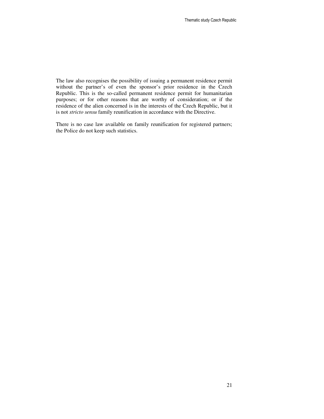The law also recognises the possibility of issuing a permanent residence permit without the partner's of even the sponsor's prior residence in the Czech Republic. This is the so-called permanent residence permit for humanitarian purposes; or for other reasons that are worthy of consideration; or if the residence of the alien concerned is in the interests of the Czech Republic, but it is not *stricto sensu* family reunification in accordance with the Directive.

There is no case law available on family reunification for registered partners; the Police do not keep such statistics.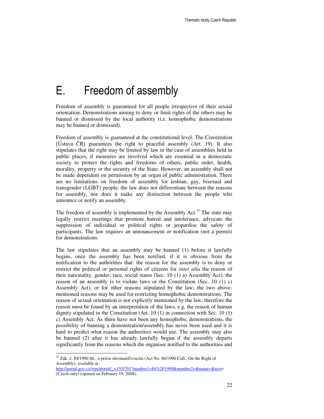## E. Freedom of assembly

Freedom of assembly is guaranteed for all people irrespective of their sexual orientation. Demonstrations aiming to deny or limit rights of the others may be banned or dismissed by the local authority (i.e. homophobic demonstrations may be banned or dismissed).

Freedom of assembly is guaranteed at the constitutional level. The Constitution [Ústava ČR] guarantees the right to peaceful assembly (Art. 19). It also stipulates that the right may be limited by law in the case of assemblies held in public places, if measures are involved which are essential in a democratic society to protect the rights and freedoms of others, public order, health, morality, property or the security of the State. However, an assembly shall not be made dependent on permission by an organ of public administration. There are no limitations on freedom of assembly for lesbian, gay, bisexual and transgender (LGBT) people; the law does not differentiate between the reasons for assembly, nor does it make any distinction between the people who announce or notify an assembly.

The freedom of assembly is implemented by the Assembly Act.<sup>37</sup> The state may legally restrict meetings that promote hatred and intolerance, advocate the suppression of individual or political rights or jeopardise the safety of participants. The law requires an announcement or notification (not a permit) for demonstrations.

The law stipulates that an assembly may be banned (1) before it lawfully begins, once the assembly has been notified, if it is obvious from the notification to the authorities that: the reason for the assembly is to deny or restrict the political or personal rights of citizens for *inter alia* the reason of their nationality, gender, race, social status (Sec. 10 (1) a) Assembly Act); the reason of an assembly is to violate laws or the Constitution (Sec. 10  $(1)$  c) Assembly Act), or for other reasons stipulated by the law; the two abovementioned reasons may be used for restricting homophobic demonstrations. The reason of sexual orientation is not explicitly mentioned by the law, therefore the reason must be found by an interpretation of the laws, e.g. the reason of human dignity stipulated in the Constitution (Art. 10 (1) in connection with Sec. 10 (1) c) Assembly Act. As there have not been any homophobic demonstrations, the possibility of banning a demonstration/assembly has never been used and it is hard to predict what reason the authorities would use. The assembly may also be banned (2) after it has already lawfully begun if the assembly departs significantly from the reasons which the organiser notified to the authorities and

 $37$  Zák. č. 84/1990 Sb., o právu shromažďovacím (Act No. 84/1990 Coll., On the Right of Assembly), available at

http://portal.gov.cz/wps/portal/\_s.155/701?number1=84%2F1990&number2=&name=&text= (Czech only) (opened on February 19, 2008).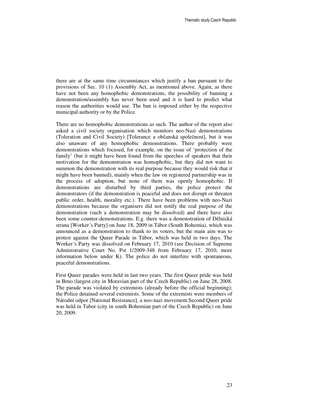there are at the same time circumstances which justify a ban pursuant to the provisions of Sec. 10 (1) Assembly Act, as mentioned above. Again, as there have not been any homophobic demonstrations, the possibility of banning a demonstration/assembly has never been used and it is hard to predict what reason the authorities would use. The ban is imposed either by the respective municipal authority or by the Police.

There are no homophobic demonstrations as such. The author of the report also asked a civil society organisation which monitors neo-Nazi demonstrations (Toleration and Civil Society) [Tolerance a občanská společnost], but it was also unaware of any homophobic demonstrations. There probably were demonstrations which focused, for example, on the issue of 'protection of the family' (but it might have been found from the speeches of speakers that their motivation for the demonstration was homophobic, but they did not want to summon the demonstration with its real purpose because they would risk that it might have been banned), mainly when the law on registered partnership was in the process of adoption, but none of them was openly homophobic. If demonstrations are disturbed by third parties, the police protect the demonstrators (if the demonstration is peaceful and does not disrupt or threaten public order, health, morality etc.). There have been problems with neo-Nazi demonstrations because the organisers did not notify the real purpose of the demonstration (such a demonstration may be dissolved) and there have also been some counter-demonstrations. E.g. there was a demonstration of Dělnická strana [Worker´s Party] on June 18, 2009 in Tábor (South Bohemia), which was announced as a demonstration to thank to its voters, but the main aim was to protest against the Queer Parade in Tábor, which was held in two days. The Worker´s Party was dissolved on February 17, 2010 (see Decision of Supreme Administrative Court No. Pst 1/2009-348 from February 17, 2010, more information below under K). The police do not interfere with spontaneous, peaceful demonstrations.

First Queer parades were held in last two years. The first Queer pride was held in Brno (largest city in Moravian part of the Czech Republic) on June 28, 2008. The parade was violated by extremists (already before the official beginning); the Police detained several extremists. Some of the extremists were members of Národní odpor [National Resistance], a neo-nazi movement.Second Queer pride was held in Tabor (city in south Bohemian part of the Czech Republic) on June 20, 2009.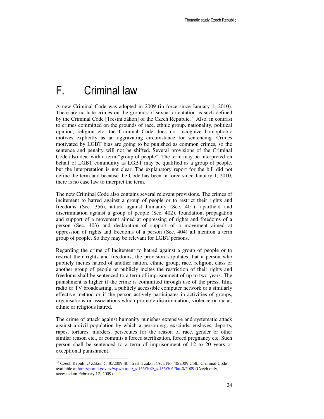## F. Criminal law

A new Criminal Code was adopted in 2009 (in force since January 1, 2010). There are no hate crimes on the grounds of sexual orientation as such defined by the Criminal Code [Trestní zákon] of the Czech Republic.<sup>38</sup> Also, in contrast to crimes committed on the grounds of race, ethnic group, nationality, political opinion, religion etc. the Criminal Code does not recognize homophobic motives explicitly as an aggravating circumstance for sentencing. Crimes motivated by LGBT bias are going to be punished as common crimes, so the sentence and penalty will not be shifted. Several provisions of the Criminal Code also deal with a term "group of people". The term may be interpreted on behalf of LGBT community as LGBT may be qualified as a group of people, but the interpretation is not clear. The explanatory report for the bill did not define the term and because the Code has been in force since January 1, 2010, there is no case law to interpret the term.

The new Criminal Code also contains several relevant provisions. The crimes of incitement to hatred against a group of people or to restrict their rights and freedoms (Sec. 356), attack against humanity (Sec. 401), apartheid and discrimination against a group of people (Sec. 402), foundation, propagation and support of a movement aimed at oppressing of rights and freedoms of a person (Sec. 403) and declaration of support of a movement aimed at oppression of rights and freedoms of a person (Sec. 404) all mention a term group of people. So they may be relevant for LGBT persons.

Regarding the crime of Incitement to hatred against a group of people or to restrict their rights and freedoms, the provision stipulates that a person who publicly incites hatred of another nation, ethnic group, race, religion, class or another group of people or publicly incites the restriction of their rights and freedoms shall be sentenced to a term of imprisonment of up to two years. The punishment is higher if the crime is committed through use of the press, film, radio or TV broadcasting, a publicly accessible computer network or a similarly effective method or if the person actively participates in activities of groups, organisations or associations which promote discrimination, violence or racial, ethnic or religious hatred.

The crime of attack against humanity punishes extensive and systematic attack against a civil population by which a person e.g. exscinds, enslaves, deports, rapes, tortures, murders, persecutes for the reason of race, gender or other similar reason etc., or commits a forced sterilization, forced pregnancy etc. Such person shall be sentenced to a term of imprisonment of 12 to 20 years or exceptional punishment.

l

<sup>38</sup> Czech Republic/ Zákon č. 40/2009 Sb., trestní zákon (Act. No. 40/2009 Coll., Criminal Code), available at http://portal.gov.cz/wps/portal/\_s.155/702/\_s.155/701?l=40/2009 (Czech only, accessed on February 12, 2009).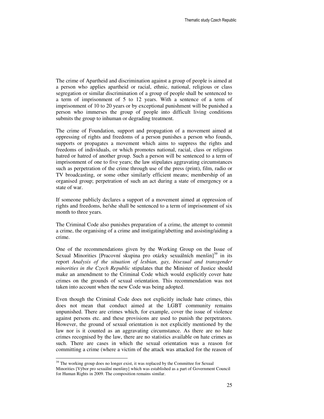The crime of Apartheid and discrimination against a group of people is aimed at a person who applies apartheid or racial, ethnic, national, religious or class segregation or similar discrimination of a group of people shall be sentenced to a term of imprisonment of 5 to 12 years. With a sentence of a term of imprisonment of 10 to 20 years or by exceptional punishment will be punished a person who immerses the group of people into difficult living conditions submits the group to inhuman or degrading treatment.

The crime of Foundation, support and propagation of a movement aimed at oppressing of rights and freedoms of a person punishes a person who founds, supports or propagates a movement which aims to suppress the rights and freedoms of individuals, or which promotes national, racial, class or religious hatred or hatred of another group. Such a person will be sentenced to a term of imprisonment of one to five years; the law stipulates aggravating circumstances such as perpetration of the crime through use of the press (print), film, radio or TV broadcasting, or some other similarly efficient means; membership of an organised group; perpetration of such an act during a state of emergency or a state of war.

If someone publicly declares a support of a movement aimed at oppression of rights and freedoms, he/she shall be sentenced to a term of imprisonment of six month to three years.

The Criminal Code also punishes preparation of a crime, the attempt to commit a crime, the organising of a crime and instigating/abetting and assisting/aiding a crime.

One of the recommendations given by the Working Group on the Issue of Sexual Minorities [Pracovní skupina pro otázky sexuálních menšin]<sup>39</sup> in its report *Analysis of the situation of lesbian, gay, bisexual and transgender minorities in the Czech Republic* stipulates that the Minister of Justice should make an amendment to the Criminal Code which would explicitly cover hate crimes on the grounds of sexual orientation. This recommendation was not taken into account when the new Code was being adopted.

Even though the Criminal Code does not explicitly include hate crimes, this does not mean that conduct aimed at the LGBT community remains unpunished. There are crimes which, for example, cover the issue of violence against persons etc. and these provisions are used to punish the perpetrators. However, the ground of sexual orientation is not explicitly mentioned by the law nor is it counted as an aggravating circumstance. As there are no hate crimes recognised by the law, there are no statistics available on hate crimes as such. There are cases in which the sexual orientation was a reason for committing a crime (where a victim of the attack was attacked for the reason of

l

 $39$  The working group does no longer exist, it was replaced by the Committee for Sexual Minorities [Výbor pro sexuální menšiny] which was established as a part of Government Council for Human Rights in 2009. The composition remains similar.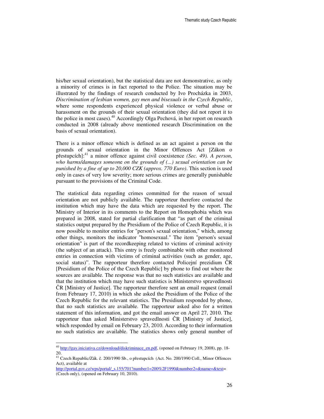his/her sexual orientation), but the statistical data are not demonstrative, as only a minority of crimes is in fact reported to the Police. The situation may be illustrated by the findings of research conducted by Ivo Procházka in 2003, *Discrimination of lesbian women, gay men and bisexuals in the Czech Republic*, where some respondents experienced physical violence or verbal abuse or harassment on the grounds of their sexual orientation (they did not report it to the police in most cases).<sup>40</sup> Accordingly Olga Pechová, in her report on research conducted in 2008 (already above mentioned research Discrimination on the basis of sexual orientation).

There is a minor offence which is defined as an act against a person on the grounds of sexual orientation in the Minor Offences Act [Zákon o přestupcích]:<sup>41</sup> a minor offence against civil coexistence *(Sec. 49). A person, who harms/damages someon*e *on the grounds of (...) sexual orientation can be punished by a fine of up to 20,000 CZK (approx. 770 Euro)*. This section is used only in cases of very low severity; more serious crimes are generally punishable pursuant to the provisions of the Criminal Code.

The statistical data regarding crimes committed for the reason of sexual orientation are not publicly available. The rapporteur therefore contacted the institution which may have the data which are requested by the report. The Ministry of Interior in its comments to the Report on Homophobia which was prepared in 2008, stated for partial clarification that "as part of the criminal statistics output prepared by the Presidium of the Police of Czech Republic, it is now possible to monitor entries for "person's sexual orientation," which, among other things, monitors the indicator "homosexual." The item "person's sexual orientation" is part of the recordkeeping related to victims of criminal activity (the subject of an attack). This entry is freely combinable with other monitored entries in connection with victims of criminal activities (such as gender, age, social status)". The rapporteur therefore contacted Policejní prezidium ČR [Presidium of the Police of the Czech Republic] by phone to find out where the sources are available. The response was that no such statistics are available and that the institution which may have such statistics is Ministerstvo spravedlnosti ČR [Ministry of Justice]. The rapporteur therefore sent an email request (email from February 17, 2010) in which she asked the Presidium of the Police of the Czech Republic for the relevant statistics. The Presidium responded by phone, that no such statistics are available. The rapporteur asked also for a written statement of this information, and got the email answer on April 27, 2010. The rapporteur than asked Ministerstvo spravedlnosti ČR [Ministry of Justice], which responded by email on February 23, 2010. According to their information no such statistics are available. The statistics shows only general number of

<sup>&</sup>lt;sup>40</sup> http://gay.iniciativa.cz/download/diskriminace\_en.pdf, (opened on February 19, 2008), pp. 18-20.

<sup>&</sup>lt;sup>41</sup> Czech Republic/Zák. č. 200/1990 Sb., o přestupcích (Act. No. 200/1990 Coll., Minor Offences Act), available at

http://portal.gov.cz/wps/portal/\_s.155/701?number1=200%2F1990&number2=&name=&text= (Czech only), (opened on February 10, 2010).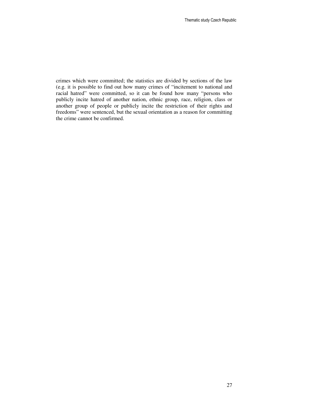crimes which were committed; the statistics are divided by sections of the law (e.g. it is possible to find out how many crimes of "incitement to national and racial hatred" were committed, so it can be found how many "persons who publicly incite hatred of another nation, ethnic group, race, religion, class or another group of people or publicly incite the restriction of their rights and freedoms" were sentenced, but the sexual orientation as a reason for committing the crime cannot be confirmed.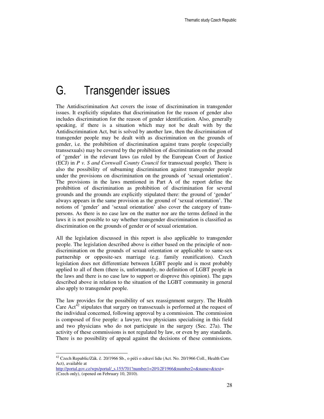## G. Transgender issues

The Antidiscrimination Act covers the issue of discrimination in transgender issues. It explicitly stipulates that discrimination for the reason of gender also includes discrimination for the reason of gender identification. Also, generally speaking, if there is a situation which may not be dealt with by the Antidiscrimination Act, but is solved by another law, then the discrimination of transgender people may be dealt with as discrimination on the grounds of gender, i.e. the prohibition of discrimination against trans people (especially transsexuals) may be covered by the prohibition of discrimination on the ground of 'gender' in the relevant laws (as ruled by the European Court of Justice (ECJ) in *P v. S and Cornwall County Council* for transsexual people)*.* There is also the possibility of subsuming discrimination against transgender people under the provisions on discrimination on the grounds of 'sexual orientation'. The provisions in the laws mentioned in Part A of the report define the prohibition of discrimination as prohibition of discrimination for several grounds and the grounds are explicitly stipulated there: the ground of 'gender' always appears in the same provision as the ground of 'sexual orientation'. The notions of 'gender' and 'sexual orientation' also cover the category of transpersons. As there is no case law on the matter nor are the terms defined in the laws it is not possible to say whether transgender discrimination is classified as discrimination on the grounds of gender or of sexual orientation.

All the legislation discussed in this report is also applicable to transgender people. The legislation described above is either based on the principle of nondiscrimination on the grounds of sexual orientation or applicable to same-sex partnership or opposite-sex marriage (e.g. family reunification). Czech legislation does not differentiate between LGBT people and is most probably applied to all of them (there is, unfortunately, no definition of LGBT people in the laws and there is no case law to support or disprove this opinion). The gaps described above in relation to the situation of the LGBT community in general also apply to transgender people.

The law provides for the possibility of sex reassignment surgery. The Health Care Act<sup> $42$ </sup> stipulates that surgery on transsexuals is performed at the request of the individual concerned, following approval by a commission. The commission is composed of five people: a lawyer, two physicians specialising in this field and two physicians who do not participate in the surgery (Sec. 27a). The activity of these commissions is not regulated by law, or even by any standards. There is no possibility of appeal against the decisions of these commissions.

 $42$  Czech Republic/Zák. č. 20/1966 Sb., o péči o zdraví lidu (Act. No. 20/1966 Coll., Health Care Act), available at

http://portal.gov.cz/wps/portal/\_s.155/701?number1=20%2F1966&number2=&name=&text= (Czech only), (opened on February 10, 2010).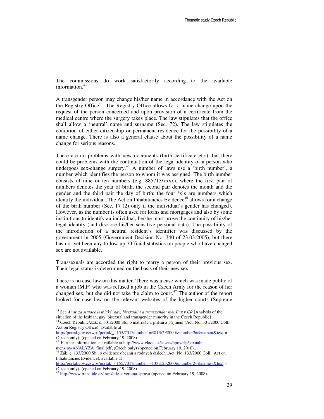The commissions do work satisfactorily according to the available information.<sup>43</sup>

A transgender person may change his/her name in accordance with the Act on the Registry Office<sup>44</sup>. The Registry Office allows for a name change upon the request of the person concerned and upon provision of a certificate from the medical centre where the surgery takes place. The law stipulates that the office shall allow a 'neutral' name and surname (Sec. 72). The law stipulates the condition of either citizenship or permanent residence for the possibility of a name change. There is also a general clause about the possibility of a name change for serious reasons.

There are no problems with new documents (birth certificate etc.), but there could be problems with the continuation of the legal identity of a person who undergoes sex-change surgery.<sup>45</sup> A number of laws use a 'birth number', a number which identifies the person to whom it was assigned. The birth number consists of nine or ten numbers (e.g. 885713/xxxx), where the first pair of numbers denotes the year of birth, the second pair denotes the month and the gender and the third pair the day of birth; the four 'x's are numbers which identify the individual. The Act on Inhabitancies Evidence<sup>46</sup> allows for a change of the birth number (Sec. 17 (2) only if the individual's gender has changed). However, as the number is often used for loans and mortgages and also by some institutions to identify an individual, he/she must prove the continuity of his/her legal identity (and disclose his/her sensitive personal data). The possibility of the introduction of a neutral resident´s identifier was discussed by the government in 2005 (Government Decision No. 340 of 23.03.2005), but there has not yet been any follow-up. Official statistics on people who have changed sex are not available.

Transsexuals are accorded the right to marry a person of their previous sex. Their legal status is determined on the basis of their new sex.

There is no case law on this matter. There was a case which was made public of a woman (MtF) who was refused a job in the Czech Army for the reason of her changed sex, but she did not take the claim to court.<sup>47</sup> The author of the report looked for case law on the relevant websites of the higher courts (Supreme

l

http://portal.gov.cz/wps/portal/\_s.155/701?number1=133%2F2000&number2=&name=&text = (Czech only), (opened on February 19, 2008)

<sup>43</sup> See *Analýza situace lesbické, gay, bisexuální a transgender menšiny v* Č*R* [Analysis of the situation of the lesbian, gay, bisexual and transgender minority in the Czech Republic]

<sup>44</sup> Czech Republic/Zák. č. 301/2000 Sb., o matrikách, jménu a příjmení (Act. No. 301/2000 Coll., Act on Registry Office), available at

http://portal.gov.cz/wps/portal/\_s.155/701?number1=301%2F2000&number2=&name=&text = (Czech only), (opened on February 19, 2008).

<sup>&</sup>lt;sup>45</sup> Further information is available at http://www.vlada.cz/assets/ppov/rlp/sexualnimensiny/ANALYZA\_final.pdf, (Czech only) (opened on February 10, 2010)...

<sup>46</sup> Zák. č. 133/2000 Sb., o evidence občanů a rodných číslech (Act. No. 133/2000 Coll., Act on Inhabitancies Evidence), available at

http://www.translide.cz/translide-a-verejna-sprava (opened on February 19, 2008).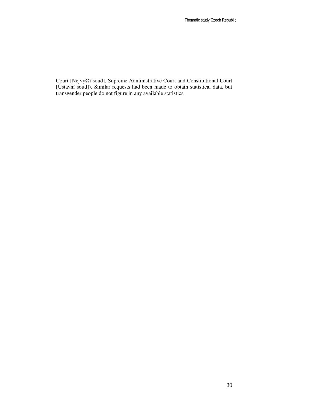Court [Nejvyšší soud], Supreme Administrative Court and Constitutional Court [Ústavní soud]). Similar requests had been made to obtain statistical data, but transgender people do not figure in any available statistics.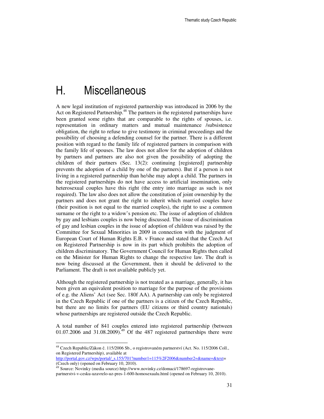## H. Miscellaneous

A new legal institution of registered partnership was introduced in 2006 by the Act on Registered Partnership.<sup>48</sup> The partners in the registered partnerships have been granted some rights that are comparable to the rights of spouses, i.e. representation in ordinary matters and mutual maintenance /subsistence obligation, the right to refuse to give testimony in criminal proceedings and the possibility of choosing a defending counsel for the partner. There is a different position with regard to the family life of registered partners in comparison with the family life of spouses. The law does not allow for the adoption of children by partners and partners are also not given the possibility of adopting the children of their partners (Sec. 13(2): continuing [registered] partnership prevents the adoption of a child by one of the partners). But if a person is not living in a registered partnership than he/she may adopt a child. The partners in the registered partnerships do not have access to artificial insemination, only heterosexual couples have this right (the entry into marriage as such is not required). The law also does not allow the constitution of joint ownership by the partners and does not grant the right to inherit which married couples have (their position is not equal to the married couples), the right to use a common surname or the right to a widow's pension etc. The issue of adoption of children by gay and lesbians couples is now being discussed. The issue of discrimination of gay and lesbian couples in the issue of adoption of children was raised by the Committee for Sexual Minorities in 2009 in connection with the judgment of European Court of Human Rights E.B. v France and stated that the Czech Act on Registered Partnership is now in its part which prohibits the adoption of children discriminatory. The Government Council for Human Rights then called on the Minister for Human Rights to change the respective law. The draft is now being discussed at the Government, then it should be delivered to the Parliament. The draft is not available publicly yet.

Although the registered partnership is not treated as a marriage, generally, it has been given an equivalent position to marriage for the purpose of the provisions of e.g. the Aliens' Act (see Sec. 180f AA). A partnership can only be registered in the Czech Republic if one of the partners is a citizen of the Czech Republic, but there are no limits for partners (EU citizens or third country nationals) whose partnerships are registered outside the Czech Republic.

A total number of 841 couples entered into registered partnership (between  $01.07.2006$  and  $31.08.2009$ .<sup>49</sup> Of the 487 registered partnerships there were

<sup>48</sup> Czech Republic/Zákon č. 115/2006 Sb., o registrovaném partnerství (Act. No. 115/2006 Coll., on Registered Partnership), available at

http://portal.gov.cz/wps/portal/\_s.155/701?number1=115%2F2006&number2=&name=&text= (Czech only) (opened on February 10, 2010).

<sup>&</sup>lt;sup>49</sup> Source: Novinky (media source) http://www.novinky.cz/domaci/178697-registrovanepartnerstvi-v-cesku-uzavrelo-uz-pres-1-600-homosexualu.html (opened on February 10, 2010).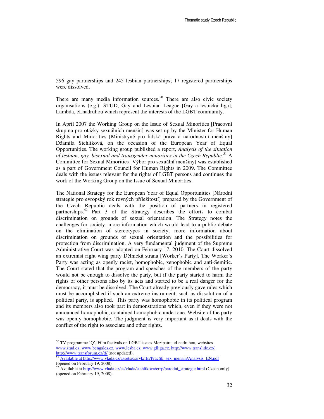596 gay partnerships and 245 lesbian partnerships; 17 registered partnerships were dissolved.

There are many media information sources.<sup>50</sup> There are also civic society organisations (e.g.): STUD, Gay and Lesbian League [Gay a lesbická liga], Lambda, eLnadruhou which represent the interests of the LGBT community.

In April 2007 the Working Group on the Issue of Sexual Minorities [Pracovní skupina pro otázky sexuálních menšin] was set up by the Minister for Human Rights and Minorities [Ministryně pro lidská práva a národnostní menšiny] Džamila Stehlíková, on the occasion of the European Year of Equal Opportunities. The working group published a report, *Analysis of the situation of lesbian, gay, bisexual and transgender minorities in the Czech Republic*. <sup>51</sup> A Committee for Sexual Minorities [Výbor pro sexuální menšiny] was established as a part of Government Council for Human Rights in 2009. The Committee deals with the issues relevant for the rights of LGBT persons and continues the work of the Working Group on the Issue of Sexual Minorities.

The National Strategy for the European Year of Equal Opportunities [Národní strategie pro evropský rok rovných příležitostí] prepared by the Government of the Czech Republic deals with the position of partners in registered partnerships.<sup>52</sup> Part 3 of the Strategy describes the efforts to combat discrimination on grounds of sexual orientation. The Strategy notes the challenges for society: more information which would lead to a public debate on the elimination of stereotypes in society, more information about discrimination on grounds of sexual orientation and the possibilities for protection from discrimination. A very fundamental judgment of the Supreme Administrative Court was adopted on February 17, 2010. The Court dissolved an extremist right wing party Dělnická strana [Worker´s Party]. The Worker´s Party was acting as openly racist, homophobic, xenophobic and anti-Semitic. The Court stated that the program and speeches of the members of the party would not be enough to dissolve the party, but if the party started to harm the rights of other persons also by its acts and started to be a real danger for the democracy, it must be dissolved. The Court already previously gave rules which must be accomplished if such an extreme instrument, such as dissolution of a political party, is applied. This party was homophobic in its political program and its members also took part in demonstrations which, even if they were not announced homophobic, contained homophobic undertone. Website of the party was openly homophobic. The judgment is very important as it deals with the conflict of the right to associate and other rights.

<sup>50</sup> TV programme 'Q', Film festivals on LGBT issues Mezipatra, eLnadruhou, websites www.stud.cz, www.bengales.cz, www.lesba.cz, www.glliga.cz. http://www.translide.cz/, http://www.transforum.cz/tf/ (not updated).

<sup>51</sup> Available at http://www.vlada.cz/assets/cs/rvk/rlp/PracSk\_sex\_mensin/Analysis\_EN.pdf  $($  opened on February 19, 2008)

<sup>&</sup>lt;sup>2</sup> Available at http://www.vlada.cz/cs/vlada/stehlikova/errp/narodni\_strategie.html (Czech only) (opened on February 19, 2008).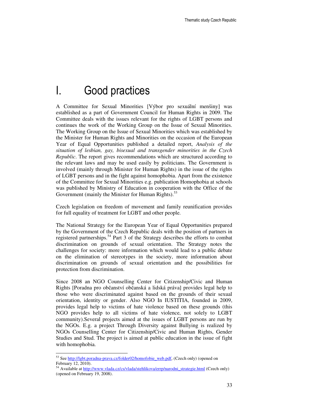## I. Good practices

A Committee for Sexual Minorities [Výbor pro sexuální menšiny] was established as a part of Government Council for Human Rights in 2009. The Committee deals with the issues relevant for the rights of LGBT persons and continues the work of the Working Group on the Issue of Sexual Minorities. The Working Group on the Issue of Sexual Minorities which was established by the Minister for Human Rights and Minorities on the occasion of the European Year of Equal Opportunities published a detailed report, *Analysis of the situation of lesbian, gay, bisexual and transgender minorities in the Czech Republic*. The report gives recommendations which are structured according to the relevant laws and may be used easily by politicians. The Government is involved (mainly through Minister for Human Rights) in the issue of the rights of LGBT persons and in the fight against homophobia. Apart from the existence of the Committee for Sexual Minorities e.g. publication Homophobia at schools was published by Ministry of Education in cooperation with the Office of the Government (mainly the Minister for Human Rights).<sup>53</sup>

Czech legislation on freedom of movement and family reunification provides for full equality of treatment for LGBT and other people.

The National Strategy for the European Year of Equal Opportunities prepared by the Government of the Czech Republic deals with the position of partners in registered partnerships.<sup>54</sup> Part 3 of the Strategy describes the efforts to combat discrimination on grounds of sexual orientation. The Strategy notes the challenges for society: more information which would lead to a public debate on the elimination of stereotypes in the society, more information about discrimination on grounds of sexual orientation and the possibilities for protection from discrimination.

Since 2008 an NGO Counselling Center for Citizenship/Civic and Human Rights [Poradna pro občanství občanská a lidská práva] provides legal help to those who were discriminated against based on the grounds of their sexual orientation, identity or gender. Also NGO In IUSTITIA, founded in 2009, provides legal help to victims of hate violence based on these grounds (this NGO provides help to all victims of hate violence, not solely to LGBT community).Several projects aimed at the issues of LGBT persons are run by the NGOs. E.g. a project Through Diversity against Bullying is realized by NGOs Counselling Center for Citizenship/Civic and Human Rights, Gender Studies and Stud. The project is aimed at public education in the issue of fight with homophobia.

<sup>&</sup>lt;sup>53</sup> See http://lgbt.poradna-prava.cz/folder02/homofobie\_web.pdf, (Czech only) (opened on February 12, 2010).

<sup>&</sup>lt;sup>54</sup> Available at http://www.vlada.cz/cs/vlada/stehlikova/errp/narodni\_strategie.html (Czech only) (opened on February 19, 2008).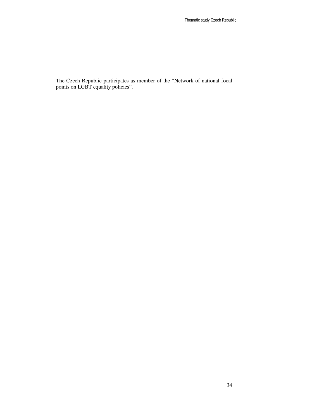The Czech Republic participates as member of the "Network of national focal points on LGBT equality policies".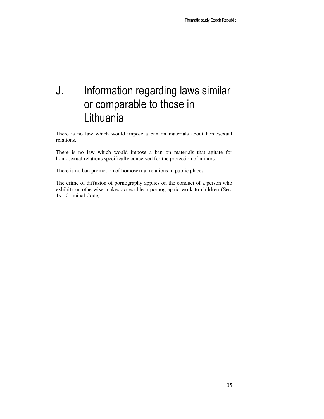# J. Information regarding laws similar or comparable to those in **Lithuania**

There is no law which would impose a ban on materials about homosexual relations.

There is no law which would impose a ban on materials that agitate for homosexual relations specifically conceived for the protection of minors.

There is no ban promotion of homosexual relations in public places.

The crime of diffusion of pornography applies on the conduct of a person who exhibits or otherwise makes accessible a pornographic work to children (Sec. 191 Criminal Code).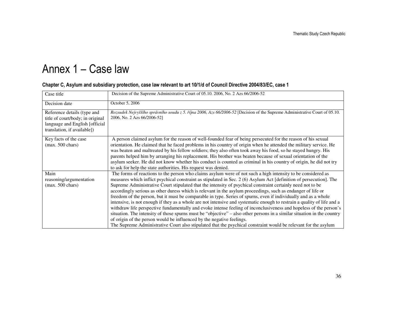# Annex 1 – Case law

| Case title                                                                                                                        | Decision of the Supreme Administrative Court of 05.10, 2006, No. 2 Azs 66/2006-52                                                                                                                                                                                                                                                                                                                                                                                                                                                                                                                                                                                                                                                                                                                                                                                                                                                                                                                                                                                                                                                                             |
|-----------------------------------------------------------------------------------------------------------------------------------|---------------------------------------------------------------------------------------------------------------------------------------------------------------------------------------------------------------------------------------------------------------------------------------------------------------------------------------------------------------------------------------------------------------------------------------------------------------------------------------------------------------------------------------------------------------------------------------------------------------------------------------------------------------------------------------------------------------------------------------------------------------------------------------------------------------------------------------------------------------------------------------------------------------------------------------------------------------------------------------------------------------------------------------------------------------------------------------------------------------------------------------------------------------|
| Decision date                                                                                                                     | October 5, 2006                                                                                                                                                                                                                                                                                                                                                                                                                                                                                                                                                                                                                                                                                                                                                                                                                                                                                                                                                                                                                                                                                                                                               |
| Reference details (type and<br>title of court/body; in original<br>language and English [official]<br>translation, if available]) | Rozsudek Nejvyššího správního soudu z 5. října 2006, Azs 66/2006-52 [Decision of the Supreme Administrative Court of 05.10.<br>2006, No. 2 Azs 66/2006-52]                                                                                                                                                                                                                                                                                                                                                                                                                                                                                                                                                                                                                                                                                                                                                                                                                                                                                                                                                                                                    |
| Key facts of the case<br>$(max. 500 \text{ chars})$                                                                               | A person claimed asylum for the reason of well-founded fear of being persecuted for the reason of his sexual<br>orientation. He claimed that he faced problems in his country of origin when he attended the military service. He<br>was beaten and maltreated by his fellow soldiers; they also often took away his food, so he stayed hungry. His<br>parents helped him by arranging his replacement. His brother was beaten because of sexual orientation of the<br>asylum seeker. He did not know whether his conduct is counted as criminal in his country of origin, he did not try<br>to ask for help the state authorities. His request was denied.                                                                                                                                                                                                                                                                                                                                                                                                                                                                                                   |
| Main<br>reasoning/argumentation<br>$(max. 500 \text{ chars})$                                                                     | The forms of reactions to the person who claims asylum were of not such a high intensity to be considered as<br>measures which inflict psychical constraint as stipulated in Sec. 2 (6) Asylum Act [definition of persecution]. The<br>Supreme Administrative Court stipulated that the intensity of psychical constraint certainly need not to be<br>accordingly serious as other duress which is relevant in the asylum proceedings, such as endanger of life or<br>freedom of the person, but it must be comparable in type. Series of spurns, even if individually and as a whole<br>intensive, is not enough if they as a whole are not intensive and systematic enough to restrain a quality of life and a<br>withdraw life perspective fundamentally and evoke intense feeling of inconclusiveness and hopeless of the person's<br>situation. The intensity of those spurns must be "objective" – also other persons in a similar situation in the country<br>of origin of the person would be influenced by the negative feelings.<br>The Supreme Administrative Court also stipulated that the psychical constraint would be relevant for the asylum |

#### Chapter C, Asylum and subsidiary protection, case law relevant to art 10/1/d of Council Directive 2004/83/EC, case 1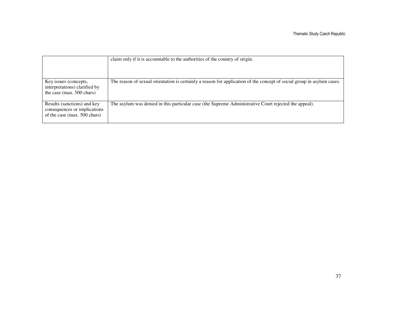|                                                                                             | claim only if it is accountable to the authorities of the country of origin.                                           |
|---------------------------------------------------------------------------------------------|------------------------------------------------------------------------------------------------------------------------|
| Key issues (concepts,<br>interpretations) clarified by<br>the case (max. 500 chars)         | The reason of sexual orientation is certainly a reason for application of the concept of social group in asylum cases. |
| Results (sanctions) and key<br>consequences or implications<br>of the case (max. 500 chars) | The asylum was denied in this particular case (the Supreme Administrative Court rejected the appeal).                  |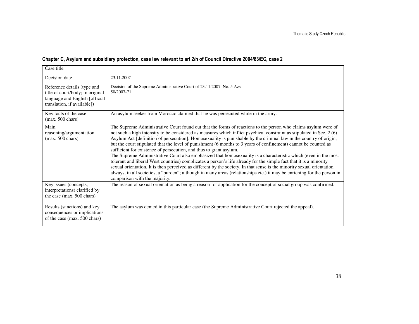| Chapter C, Asylum and subsidiary protection, case law relevant to art 2/h of Council Directive 2004/83/EC, case 2 |
|-------------------------------------------------------------------------------------------------------------------|
|-------------------------------------------------------------------------------------------------------------------|

| Case title                                                                                                                       |                                                                                                                                                                                                                                                                                                                                                                                                                                                                                                                                                                                                                                                                                                                                                                                                                                                                                                                                                                                                                                                                                      |
|----------------------------------------------------------------------------------------------------------------------------------|--------------------------------------------------------------------------------------------------------------------------------------------------------------------------------------------------------------------------------------------------------------------------------------------------------------------------------------------------------------------------------------------------------------------------------------------------------------------------------------------------------------------------------------------------------------------------------------------------------------------------------------------------------------------------------------------------------------------------------------------------------------------------------------------------------------------------------------------------------------------------------------------------------------------------------------------------------------------------------------------------------------------------------------------------------------------------------------|
| Decision date                                                                                                                    | 23.11.2007                                                                                                                                                                                                                                                                                                                                                                                                                                                                                                                                                                                                                                                                                                                                                                                                                                                                                                                                                                                                                                                                           |
| Reference details (type and<br>title of court/body; in original<br>language and English [official<br>translation, if available]) | Decision of the Supreme Administrative Court of 23.11.2007, No. 5 Azs<br>50/2007-71                                                                                                                                                                                                                                                                                                                                                                                                                                                                                                                                                                                                                                                                                                                                                                                                                                                                                                                                                                                                  |
| Key facts of the case<br>$(max. 500 \text{ chars})$                                                                              | An asylum seeker from Morocco claimed that he was persecuted while in the army.                                                                                                                                                                                                                                                                                                                                                                                                                                                                                                                                                                                                                                                                                                                                                                                                                                                                                                                                                                                                      |
| Main<br>reasoning/argumentation<br>$(max. 500 \text{ chars})$                                                                    | The Supreme Administrative Court found out that the forms of reactions to the person who claims asylum were of<br>not such a high intensity to be considered as measures which inflict psychical constraint as stipulated in Sec. 2 (6)<br>Asylum Act [definition of persecution]. Homosexuality is punishable by the criminal law in the country of origin,<br>but the court stipulated that the level of punishment (6 months to 3 years of confinement) cannot be counted as<br>sufficient for existence of persecution, and thus to grant asylum.<br>The Supreme Administrative Court also emphasized that homosexuality is a characteristic which (even in the most<br>tolerant and liberal West countries) complicates a person's life already for the simple fact that it is a minority<br>sexual orientation. It is then perceived as different by the society. In that sense is the minority sexual orientation<br>always, in all societies, a "burden"; although in many areas (relationships etc.) it may be enriching for the person in<br>comparison with the majority. |
| Key issues (concepts,<br>interpretations) clarified by<br>the case (max. 500 chars)                                              | The reason of sexual orientation as being a reason for application for the concept of social group was confirmed.                                                                                                                                                                                                                                                                                                                                                                                                                                                                                                                                                                                                                                                                                                                                                                                                                                                                                                                                                                    |
| Results (sanctions) and key<br>consequences or implications<br>of the case (max. 500 chars)                                      | The asylum was denied in this particular case (the Supreme Administrative Court rejected the appeal).                                                                                                                                                                                                                                                                                                                                                                                                                                                                                                                                                                                                                                                                                                                                                                                                                                                                                                                                                                                |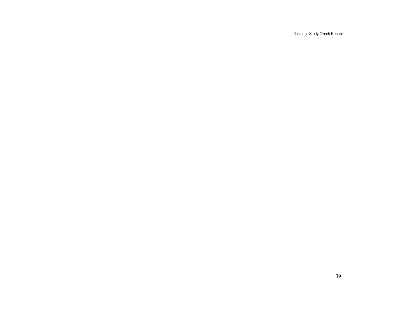Thematic Study Czech Republic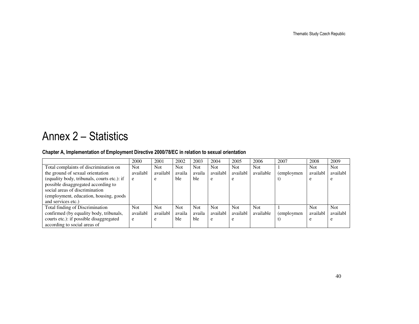Thematic Study Czech Republic

# Annex 2 – Statistics

### Chapter A, Implementation of Employment Directive 2000/78/EC in relation to sexual orientation

|                                             | 2000       | 2001       | 2002       | 2003       | 2004       | 2005     | 2006       | 2007        | 2008       | 2009       |
|---------------------------------------------|------------|------------|------------|------------|------------|----------|------------|-------------|------------|------------|
| Total complaints of discrimination on       | <b>Not</b> | <b>Not</b> | <b>Not</b> | <b>Not</b> | <b>Not</b> | Not      | <b>Not</b> |             | <b>Not</b> | <b>Not</b> |
| the ground of sexual orientation            | availabl   | availabl   | availa     | availa     | availabl   | availabl | available  | (employmen) | availabl   | availabl   |
| (equality body, tribunals, courts etc.): if | e          | e          | ble        | ble        | e          | e        |            |             | e          | e          |
| possible disaggregated according to         |            |            |            |            |            |          |            |             |            |            |
| social areas of discrimination              |            |            |            |            |            |          |            |             |            |            |
| (employment, education, housing, goods)     |            |            |            |            |            |          |            |             |            |            |
| and services etc.)                          |            |            |            |            |            |          |            |             |            |            |
| <b>Total finding of Discrimination</b>      | <b>Not</b> | <b>Not</b> | <b>Not</b> | <b>Not</b> | <b>Not</b> | Not      | <b>Not</b> |             | <b>Not</b> | <b>Not</b> |
| confirmed (by equality body, tribunals,     | availabl   | availabl   | availa     | availa     | availabl   | availabl | available  | (employmen) | availabl   | availabl   |
| courts etc.): if possible disaggregated     | e          | e          | ble        | ble        | e          | e        |            |             | e          | e          |
| according to social areas of                |            |            |            |            |            |          |            |             |            |            |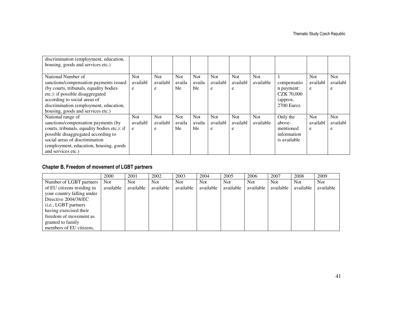| discrimination (employment, education,<br>housing, goods and services etc.)                                                                                                                                                                               |                       |                             |                       |                             |                             |                             |                         |                                                                            |                             |                             |
|-----------------------------------------------------------------------------------------------------------------------------------------------------------------------------------------------------------------------------------------------------------|-----------------------|-----------------------------|-----------------------|-----------------------------|-----------------------------|-----------------------------|-------------------------|----------------------------------------------------------------------------|-----------------------------|-----------------------------|
| National Number of<br>sanctions/compensation payments issued<br>(by courts, tribunals, equality bodies<br>etc.): if possible disaggregated<br>according to social areas of<br>discrimination (employment, education,<br>housing, goods and services etc.) | Not.<br>availabl<br>e | Not.<br>availabl<br>e       | Not.<br>availa<br>ble | Not<br>availa<br>ble        | <b>Not</b><br>availabl<br>e | <b>Not</b><br>availabl<br>e | <b>Not</b><br>available | compensatio<br>n payment:<br><b>CZK 70,000</b><br>(approx.)<br>2700 Euro). | <b>Not</b><br>availabl<br>e | <b>Not</b><br>availabl<br>e |
| National range of<br>sanctions/compensation payments (by<br>courts, tribunals, equality bodies etc.): if<br>possible disaggregated according to<br>social areas of discrimination<br>(employment, education, housing, goods)<br>and services etc.)        | Not.<br>availabl<br>e | <b>Not</b><br>availabl<br>e | Not.<br>availa<br>ble | <b>Not</b><br>availa<br>ble | <b>Not</b><br>availabl<br>e | <b>Not</b><br>availabl<br>e | <b>Not</b><br>available | Only the<br>above-<br>mentioned<br>information<br>is available             | <b>Not</b><br>availabl<br>e | <b>Not</b><br>availabl<br>e |

### Chapter B, Freedom of movement of LGBT partners

|                               | 2000      | 2001       | 2002       | 2003       | 2004      | 2005       | 2006       | 2007       | 2008       | 2009       |
|-------------------------------|-----------|------------|------------|------------|-----------|------------|------------|------------|------------|------------|
| Number of LGBT partners       | Not       | <b>Not</b> | <b>Not</b> | <b>Not</b> | Not       | <b>Not</b> | <b>Not</b> | <b>Not</b> | <b>Not</b> | <b>Not</b> |
| of EU citizens residing in    | available | available  | available  | available  | available | available  | available  | available  | available  | available  |
| your country falling under    |           |            |            |            |           |            |            |            |            |            |
| Directive 2004/38/EC          |           |            |            |            |           |            |            |            |            |            |
| ( <i>i.e.</i> , LGBT partners |           |            |            |            |           |            |            |            |            |            |
| having exercised their        |           |            |            |            |           |            |            |            |            |            |
| freedom of movement as        |           |            |            |            |           |            |            |            |            |            |
| granted to family             |           |            |            |            |           |            |            |            |            |            |
| members of EU citizens.       |           |            |            |            |           |            |            |            |            |            |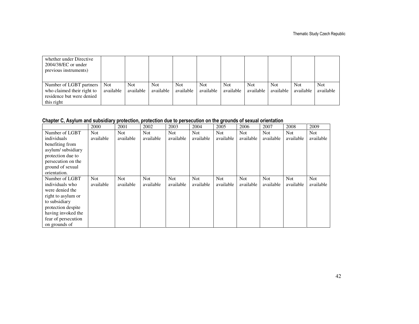| whether under Directive<br>$2004/38/EC$ or under<br>previous instruments)                        |                  |                         |                  |                  |                  |                         |                  |                  |                  |                         |
|--------------------------------------------------------------------------------------------------|------------------|-------------------------|------------------|------------------|------------------|-------------------------|------------------|------------------|------------------|-------------------------|
| Number of LGBT partners<br>who claimed their right to<br>residence but were denied<br>this right | Not<br>available | <b>Not</b><br>available | Not<br>available | Not<br>available | Not<br>available | <b>Not</b><br>available | Not<br>available | Not<br>available | Not<br>available | <b>Not</b><br>available |

#### Chapter C, Asylum and subsidiary protection, protection due to persecution on the grounds of sexual orientation

|                     | 2000      | 2001       | 2002       | 2003       | 2004       | 2005       | 2006       | 2007      | 2008       | 2009       |
|---------------------|-----------|------------|------------|------------|------------|------------|------------|-----------|------------|------------|
| Number of LGBT      | Not.      | <b>Not</b> | <b>Not</b> | <b>Not</b> | <b>Not</b> | <b>Not</b> | Not.       | Not       | <b>Not</b> | <b>Not</b> |
| individuals         | available | available  | available  | available  | available  | available  | available  | available | available  | available  |
| benefiting from     |           |            |            |            |            |            |            |           |            |            |
| asylum/subsidiary   |           |            |            |            |            |            |            |           |            |            |
| protection due to   |           |            |            |            |            |            |            |           |            |            |
| persecution on the  |           |            |            |            |            |            |            |           |            |            |
| ground of sexual    |           |            |            |            |            |            |            |           |            |            |
| orientation.        |           |            |            |            |            |            |            |           |            |            |
| Number of LGBT      | Not.      | Not        | Not        | <b>Not</b> | <b>Not</b> | <b>Not</b> | <b>Not</b> | Not       | <b>Not</b> | Not        |
| individuals who     | available | available  | available  | available  | available  | available  | available  | available | available  | available  |
| were denied the     |           |            |            |            |            |            |            |           |            |            |
| right to asylum or  |           |            |            |            |            |            |            |           |            |            |
| to subsidiary       |           |            |            |            |            |            |            |           |            |            |
| protection despite  |           |            |            |            |            |            |            |           |            |            |
| having invoked the  |           |            |            |            |            |            |            |           |            |            |
| fear of persecution |           |            |            |            |            |            |            |           |            |            |
| on grounds of       |           |            |            |            |            |            |            |           |            |            |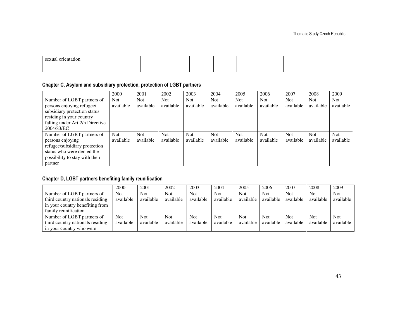| $\sim$ |  |  |  |  |  |
|--------|--|--|--|--|--|
|        |  |  |  |  |  |

#### Chapter C, Asylum and subsidiary protection, protection of LGBT partners

|                                 | 2000      | 2001      | 2002      | 2003      | 2004      | 2005      | 2006      | 2007      | 2008       | 2009      |
|---------------------------------|-----------|-----------|-----------|-----------|-----------|-----------|-----------|-----------|------------|-----------|
| Number of LGBT partners of      | Not       | Not.      | Not       | Not.      | Not.      | Not.      | Not.      | Not       | <b>Not</b> | Not.      |
| persons enjoying refugee/       | available | available | available | available | available | available | available | available | available  | available |
| subsidiary protection status    |           |           |           |           |           |           |           |           |            |           |
| residing in your country        |           |           |           |           |           |           |           |           |            |           |
| falling under Art 2/h Directive |           |           |           |           |           |           |           |           |            |           |
| 2004/83/EC                      |           |           |           |           |           |           |           |           |            |           |
| Number of LGBT partners of      | Not       | Not.      | Not       | Not.      | Not       | Not.      | Not.      | Not       | <b>Not</b> | Not       |
| persons enjoying                | available | available | available | available | available | available | available | available | available  | available |
| refugee/subsidiary protection   |           |           |           |           |           |           |           |           |            |           |
| status who were denied the      |           |           |           |           |           |           |           |           |            |           |
| possibility to stay with their  |           |           |           |           |           |           |           |           |            |           |
| partner                         |           |           |           |           |           |           |           |           |            |           |

#### Chapter D, LGBT partners benefiting family reunification

|                                  | 2000      | 2001       | 2002       | 2003       | 2004       | 2005       | 2006       | 2007       | 2008       | 2009       |
|----------------------------------|-----------|------------|------------|------------|------------|------------|------------|------------|------------|------------|
| Number of LGBT partners of       | Not       | <b>Not</b> | <b>Not</b> | Not        | <b>Not</b> | <b>Not</b> | <b>Not</b> | Not        | <b>Not</b> | <b>Not</b> |
| third country nationals residing | available | available  | available  | available  | available  | available  | available  | available  | available  | available  |
| in your country benefiting from  |           |            |            |            |            |            |            |            |            |            |
| family reunification.            |           |            |            |            |            |            |            |            |            |            |
| Number of LGBT partners of       | Not       | <b>Not</b> | <b>Not</b> | <b>Not</b> | <b>Not</b> | <b>Not</b> | <b>Not</b> | <b>Not</b> | <b>Not</b> | <b>Not</b> |
| third country nationals residing | available | available  | available  | available  | available  | available  | available  | available  | available  | available  |
| in your country who were         |           |            |            |            |            |            |            |            |            |            |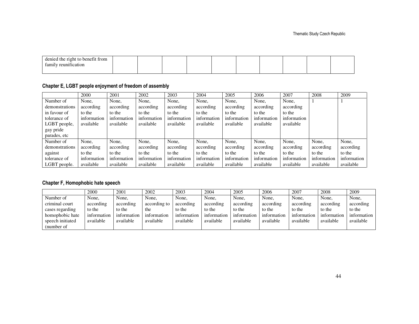| deniec<br>+rom<br>$r_1$ $\alpha$ ht<br>hene1<br>the contract of the contract of the contract of the contract of the contract of the contract of the contract of |  |  |  |  |  |
|-----------------------------------------------------------------------------------------------------------------------------------------------------------------|--|--|--|--|--|
| $\sim$<br>tamı<br>uon                                                                                                                                           |  |  |  |  |  |
|                                                                                                                                                                 |  |  |  |  |  |

#### Chapter E, LGBT people enjoyment of freedom of assembly

|                | 2000        | 2001        | 2002        | 2003        | 2004        | 2005        | 2006        | 2007        | 2008        | 2009        |
|----------------|-------------|-------------|-------------|-------------|-------------|-------------|-------------|-------------|-------------|-------------|
| Number of      | None,       | None,       | None,       | None,       | None,       | None,       | None,       | None,       |             |             |
| demonstrations | according   | according   | according   | according   | according   | according   | according   | according   |             |             |
| in favour of   | to the      | to the      | to the      | to the      | to the      | to the      | to the      | to the      |             |             |
| tolerance of   | information | information | information | information | information | information | information | information |             |             |
| LGBT people,   | available   | available   | available   | available   | available   | available   | available   | available   |             |             |
| gay pride      |             |             |             |             |             |             |             |             |             |             |
| parades, etc   |             |             |             |             |             |             |             |             |             |             |
| Number of      | None,       | None.       | None.       | None,       | None,       | None,       | None,       | None,       | None,       | None.       |
| demonstrations | according   | according   | according   | according   | according   | according   | according   | according   | according   | according   |
| against        | to the      | to the      | to the      | to the      | to the      | to the      | to the      | to the      | to the      | to the      |
| tolerance of   | information | information | information | information | information | information | information | information | information | information |
| LGBT people.   | available   | available   | available   | available   | available   | available   | available   | available   | available   | available   |

#### Chapter F, Homophobic hate speech

|                  | 2000        | 2001        | 2002         | 2003        | 2004        | 2005        | 2006        | 2007        | 2008        | 2009        |
|------------------|-------------|-------------|--------------|-------------|-------------|-------------|-------------|-------------|-------------|-------------|
| Number of        | None,       | None.       | None,        | None,       | None,       | None,       | None,       | None,       | None,       | None,       |
| criminal court   | according   | according   | according to | according   | according   | according   | according   | according   | according   | according   |
| cases regarding  | to the      | to the      | the          | to the      | to the      | to the      | to the      | to the      | to the      | to the      |
| homophobic hate  | information | information | information  | information | information | information | information | information | information | information |
| speech initiated | available   | available   | available    | available   | available   | available   | available   | available   | available   | available   |
| (number of       |             |             |              |             |             |             |             |             |             |             |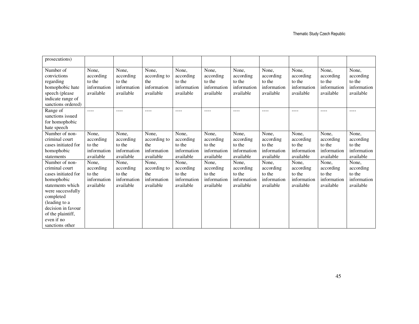| prosecutions)                                                                                                         |                                                                   |                                                                   |                                                                   |                                                                   |                                                                   |                                                                   |                                                                   |                                                                   |                                                                   |                                                                   |
|-----------------------------------------------------------------------------------------------------------------------|-------------------------------------------------------------------|-------------------------------------------------------------------|-------------------------------------------------------------------|-------------------------------------------------------------------|-------------------------------------------------------------------|-------------------------------------------------------------------|-------------------------------------------------------------------|-------------------------------------------------------------------|-------------------------------------------------------------------|-------------------------------------------------------------------|
| Number of<br>convictions<br>regarding<br>homophobic hate<br>speech (please<br>indicate range of<br>sanctions ordered) | None,<br>according<br>to the<br>information<br>available          | None,<br>according<br>to the<br>information<br>available          | None,<br>according to<br>the<br>information<br>available          | None,<br>according<br>to the<br>information<br>available          | None,<br>according<br>to the<br>information<br>available          | None,<br>according<br>to the<br>information<br>available          | None,<br>according<br>to the<br>information<br>available          | None,<br>according<br>to the<br>information<br>available          | None,<br>according<br>to the<br>information<br>available          | None,<br>according<br>to the<br>information<br>available          |
| Range of<br>sanctions issued<br>for homophobic<br>hate speech                                                         | $---$                                                             | ----                                                              | ----                                                              | $\cdots$                                                          | $---$                                                             | $---$                                                             | $---$                                                             | $---$                                                             | ----                                                              | $---$                                                             |
| Number of non-<br>criminal court<br>cases initiated for<br>homophobic<br>statements<br>Number of non-                 | None,<br>according<br>to the<br>information<br>available<br>None. | None,<br>according<br>to the<br>information<br>available<br>None. | None,<br>according to<br>the<br>information<br>available<br>None. | None,<br>according<br>to the<br>information<br>available<br>None. | None,<br>according<br>to the<br>information<br>available<br>None. | None,<br>according<br>to the<br>information<br>available<br>None. | None,<br>according<br>to the<br>information<br>available<br>None, | None,<br>according<br>to the<br>information<br>available<br>None. | None,<br>according<br>to the<br>information<br>available<br>None. | None,<br>according<br>to the<br>information<br>available<br>None. |
| criminal court<br>cases initiated for<br>homophobic<br>statements which<br>were successfully<br>completed             | according<br>to the<br>information<br>available                   | according<br>to the<br>information<br>available                   | according to<br>the<br>information<br>available                   | according<br>to the<br>information<br>available                   | according<br>to the<br>information<br>available                   | according<br>to the<br>information<br>available                   | according<br>to the<br>information<br>available                   | according<br>to the<br>information<br>available                   | according<br>to the<br>information<br>available                   | according<br>to the<br>information<br>available                   |
| (leading to a<br>decision in favour<br>of the plaintiff,<br>even if no<br>sanctions other                             |                                                                   |                                                                   |                                                                   |                                                                   |                                                                   |                                                                   |                                                                   |                                                                   |                                                                   |                                                                   |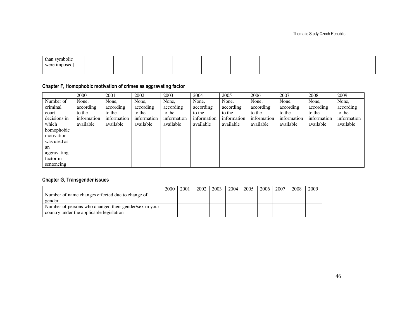| $\cdots$<br>than symbolic                          |  |  |  |  |  |
|----------------------------------------------------|--|--|--|--|--|
| were imposed<br>$\sim$ $\sim$ $\sim$ $\sim$ $\sim$ |  |  |  |  |  |
|                                                    |  |  |  |  |  |

#### Chapter F, Homophobic motivation of crimes as aggravating factor

|              | 2000        | 2001        | 2002        | 2003        | 2004        | 2005        | 2006        | 2007        | 2008        | 2009        |
|--------------|-------------|-------------|-------------|-------------|-------------|-------------|-------------|-------------|-------------|-------------|
| Number of    | None,       | None,       | None,       | None,       | None,       | None,       | None,       | None,       | None,       | None,       |
| criminal     | according   | according   | according   | according   | according   | according   | according   | according   | according   | according   |
| court        | to the      | to the      | to the      | to the      | to the      | to the      | to the      | to the      | to the      | to the      |
| decisions in | information | information | information | information | information | information | information | information | information | information |
| which        | available   | available   | available   | available   | available   | available   | available   | available   | available   | available   |
| homophobic   |             |             |             |             |             |             |             |             |             |             |
| motivation   |             |             |             |             |             |             |             |             |             |             |
| was used as  |             |             |             |             |             |             |             |             |             |             |
| an           |             |             |             |             |             |             |             |             |             |             |
| aggravating  |             |             |             |             |             |             |             |             |             |             |
| factor in    |             |             |             |             |             |             |             |             |             |             |
| sentencing   |             |             |             |             |             |             |             |             |             |             |

#### Chapter G, Transgender issues

|                                                        | 2000 | 2001 | 2002 | 2003 | 2004 | 2005 | 2006 | 2007 | 2008 | 2009 |
|--------------------------------------------------------|------|------|------|------|------|------|------|------|------|------|
| Number of name changes effected due to change of       |      |      |      |      |      |      |      |      |      |      |
| gender                                                 |      |      |      |      |      |      |      |      |      |      |
| Number of persons who changed their gender/sex in your |      |      |      |      |      |      |      |      |      |      |
| country under the applicable legislation               |      |      |      |      |      |      |      |      |      |      |